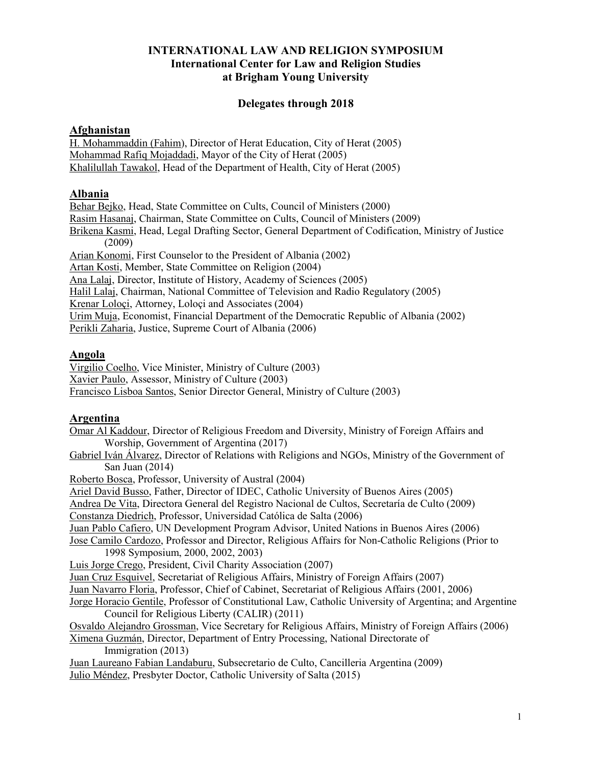### **INTERNATIONAL LAW AND RELIGION SYMPOSIUM International Center for Law and Religion Studies at Brigham Young University**

### **Delegates through 2018**

#### **Afghanistan**

H. Mohammaddin (Fahim), Director of Herat Education, City of Herat (2005) Mohammad Rafiq Mojaddadi, Mayor of the City of Herat (2005) Khalilullah Tawakol, Head of the Department of Health, City of Herat (2005)

### **Albania**

Behar Bejko, Head, State Committee on Cults, Council of Ministers (2000) Rasim Hasanaj, Chairman, State Committee on Cults, Council of Ministers (2009) Brikena Kasmi, Head, Legal Drafting Sector, General Department of Codification, Ministry of Justice (2009) Arian Konomi, First Counselor to the President of Albania (2002) Artan Kosti, Member, State Committee on Religion (2004) Ana Lalaj, Director, Institute of History, Academy of Sciences (2005) Halil Lalaj, Chairman, National Committee of Television and Radio Regulatory (2005) Krenar Loloçi, Attorney, Loloçi and Associates (2004) Urim Muja, Economist, Financial Department of the Democratic Republic of Albania (2002) Perikli Zaharia, Justice, Supreme Court of Albania (2006)

#### **Angola**

Virgilio Coelho, Vice Minister, Ministry of Culture (2003) Xavier Paulo, Assessor, Ministry of Culture (2003) Francisco Lisboa Santos, Senior Director General, Ministry of Culture (2003)

#### **Argentina**

Omar Al Kaddour, Director of Religious Freedom and Diversity, Ministry of Foreign Affairs and Worship, Government of Argentina (2017) Gabriel Iván Álvarez, Director of Relations with Religions and NGOs, Ministry of the Government of San Juan (2014) Roberto Bosca, Professor, University of Austral (2004) Ariel David Busso, Father, Director of IDEC, Catholic University of Buenos Aires (2005) Andrea De Vita, Directora General del Registro Nacional de Cultos, Secretaría de Culto (2009) Constanza Diedrich, Professor, Universidad Católica de Salta (2006) Juan Pablo Cafiero, UN Development Program Advisor, United Nations in Buenos Aires (2006) Jose Camilo Cardozo, Professor and Director, Religious Affairs for Non-Catholic Religions (Prior to 1998 Symposium, 2000, 2002, 2003) Luis Jorge Crego, President, Civil Charity Association (2007) Juan Cruz Esquivel, Secretariat of Religious Affairs, Ministry of Foreign Affairs (2007) Juan Navarro Floria, Professor, Chief of Cabinet, Secretariat of Religious Affairs (2001, 2006) Jorge Horacio Gentile, Professor of Constitutional Law, Catholic University of Argentina; and Argentine Council for Religious Liberty (CALIR) (2011) Osvaldo Alejandro Grossman, Vice Secretary for Religious Affairs, Ministry of Foreign Affairs (2006) Ximena Guzmán, Director, Department of Entry Processing, National Directorate of Immigration (2013) Juan Laureano Fabian Landaburu, Subsecretario de Culto, Cancilleria Argentina (2009) Julio Méndez, Presbyter Doctor, Catholic University of Salta (2015)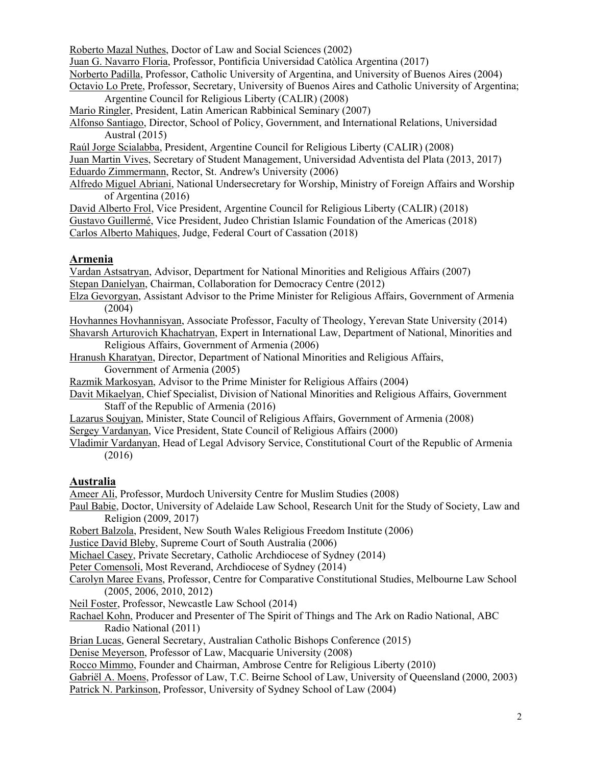Roberto Mazal Nuthes, Doctor of Law and Social Sciences (2002)

Juan G. Navarro Floria, Professor, Pontificia Universidad Catòlica Argentina (2017)

Norberto Padilla, Professor, Catholic University of Argentina, and University of Buenos Aires (2004)

Octavio Lo Prete, Professor, Secretary, University of Buenos Aires and Catholic University of Argentina; Argentine Council for Religious Liberty (CALIR) (2008)

Mario Ringler, President, Latin American Rabbinical Seminary (2007)

Alfonso Santiago, Director, School of Policy, Government, and International Relations, Universidad Austral (2015)

Raúl Jorge Scialabba, President, Argentine Council for Religious Liberty (CALIR) (2008)

Juan Martin Vives, Secretary of Student Management, Universidad Adventista del Plata (2013, 2017) Eduardo Zimmermann, Rector, St. Andrew's University (2006)

Alfredo Miguel Abriani, National Undersecretary for Worship, Ministry of Foreign Affairs and Worship of Argentina (2016)

David Alberto Frol, Vice President, Argentine Council for Religious Liberty (CALIR) (2018)

Gustavo Guillermé, Vice President, Judeo Christian Islamic Foundation of the Americas (2018)

Carlos Alberto Mahiques, Judge, Federal Court of Cassation (2018)

# **Armenia**

Vardan Astsatryan, Advisor, Department for National Minorities and Religious Affairs (2007)

- Stepan Danielyan, Chairman, Collaboration for Democracy Centre (2012)
- Elza Gevorgyan, Assistant Advisor to the Prime Minister for Religious Affairs, Government of Armenia (2004)

Hovhannes Hovhannisyan, Associate Professor, Faculty of Theology, Yerevan State University (2014)

Shavarsh Arturovich Khachatryan, Expert in International Law, Department of National, Minorities and Religious Affairs, Government of Armenia (2006)

Hranush Kharatyan, Director, Department of National Minorities and Religious Affairs, Government of Armenia (2005)

Razmik Markosyan, Advisor to the Prime Minister for Religious Affairs (2004)

Davit Mikaelyan, Chief Specialist, Division of National Minorities and Religious Affairs, Government Staff of the Republic of Armenia (2016)

Lazarus Soujyan, Minister, State Council of Religious Affairs, Government of Armenia (2008)

Sergey Vardanyan, Vice President, State Council of Religious Affairs (2000)

Vladimir Vardanyan, Head of Legal Advisory Service, Constitutional Court of the Republic of Armenia (2016)

# **Australia**

Ameer Ali, Professor, Murdoch University Centre for Muslim Studies (2008)

Paul Babie, Doctor, University of Adelaide Law School, Research Unit for the Study of Society, Law and Religion (2009, 2017)

Robert Balzola, President, New South Wales Religious Freedom Institute (2006)

Justice David Bleby, Supreme Court of South Australia (2006)

Michael Casey, Private Secretary, Catholic Archdiocese of Sydney (2014)

Peter Comensoli, Most Reverand, Archdiocese of Sydney (2014)

Carolyn Maree Evans, Professor, Centre for Comparative Constitutional Studies, Melbourne Law School (2005, 2006, 2010, 2012)

Neil Foster, Professor, Newcastle Law School (2014)

Rachael Kohn, Producer and Presenter of The Spirit of Things and The Ark on Radio National, ABC Radio National (2011)

Brian Lucas, General Secretary, Australian Catholic Bishops Conference (2015)

Denise Meyerson, Professor of Law, Macquarie University (2008)

Rocco Mimmo, Founder and Chairman, Ambrose Centre for Religious Liberty (2010)

Gabriël A. Moens, Professor of Law, T.C. Beirne School of Law, University of Queensland (2000, 2003)

Patrick N. Parkinson, Professor, University of Sydney School of Law (2004)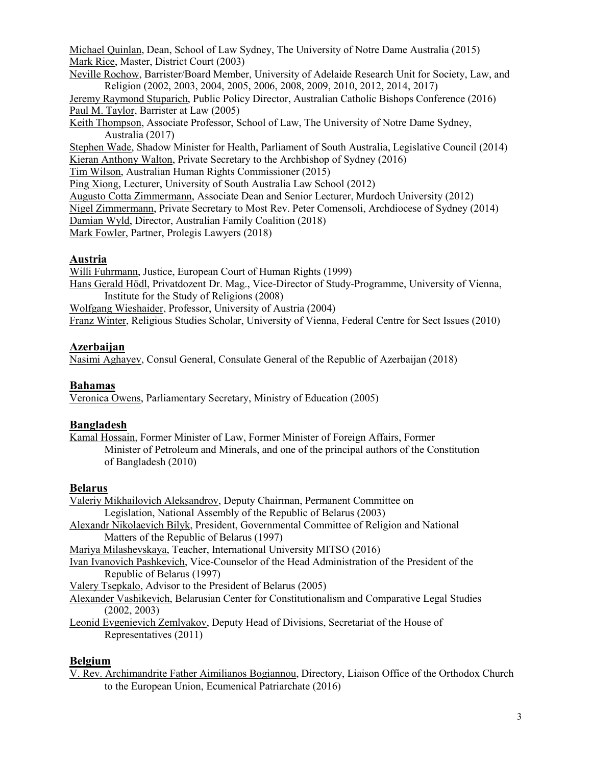Michael Quinlan, Dean, School of Law Sydney, The University of Notre Dame Australia (2015) Mark Rice, Master, District Court (2003)

Neville Rochow, Barrister/Board Member, University of Adelaide Research Unit for Society, Law, and Religion (2002, 2003, 2004, 2005, 2006, 2008, 2009, 2010, 2012, 2014, 2017)

Jeremy Raymond Stuparich, Public Policy Director, Australian Catholic Bishops Conference (2016) Paul M. Taylor, Barrister at Law (2005)

Keith Thompson, Associate Professor, School of Law, The University of Notre Dame Sydney, Australia (2017)

Stephen Wade, Shadow Minister for Health, Parliament of South Australia, Legislative Council (2014) Kieran Anthony Walton, Private Secretary to the Archbishop of Sydney (2016)

Tim Wilson, Australian Human Rights Commissioner (2015)

Ping Xiong, Lecturer, University of South Australia Law School (2012)

Augusto Cotta Zimmermann, Associate Dean and Senior Lecturer, Murdoch University (2012)

Nigel Zimmermann, Private Secretary to Most Rev. Peter Comensoli, Archdiocese of Sydney (2014)

Damian Wyld, Director, Australian Family Coalition (2018)

Mark Fowler, Partner, Prolegis Lawyers (2018)

# **Austria**

Willi Fuhrmann, Justice, European Court of Human Rights (1999)

Hans Gerald Hödl, Privatdozent Dr. Mag., Vice-Director of Study-Programme, University of Vienna, Institute for the Study of Religions (2008)

Wolfgang Wieshaider, Professor, University of Austria (2004)

Franz Winter, Religious Studies Scholar, University of Vienna, Federal Centre for Sect Issues (2010)

### **Azerbaijan**

Nasimi Aghayev, Consul General, Consulate General of the Republic of Azerbaijan (2018)

#### **Bahamas**

Veronica Owens, Parliamentary Secretary, Ministry of Education (2005)

#### **Bangladesh**

Kamal Hossain, Former Minister of Law, Former Minister of Foreign Affairs, Former Minister of Petroleum and Minerals, and one of the principal authors of the Constitution of Bangladesh (2010)

#### **Belarus**

Valeriy Mikhailovich Aleksandrov, Deputy Chairman, Permanent Committee on Legislation, National Assembly of the Republic of Belarus (2003) Alexandr Nikolaevich Bilyk, President, Governmental Committee of Religion and National Matters of the Republic of Belarus (1997) Mariya Milashevskaya, Teacher, International University MITSO (2016) Ivan Ivanovich Pashkevich, Vice-Counselor of the Head Administration of the President of the Republic of Belarus (1997) Valery Tsepkalo, Advisor to the President of Belarus (2005) Alexander Vashikevich, Belarusian Center for Constitutionalism and Comparative Legal Studies (2002, 2003)

Leonid Evgenievich Zemlyakov, Deputy Head of Divisions, Secretariat of the House of Representatives (2011)

#### **Belgium**

V. Rev. Archimandrite Father Aimilianos Bogiannou, Directory, Liaison Office of the Orthodox Church to the European Union, Ecumenical Patriarchate (2016)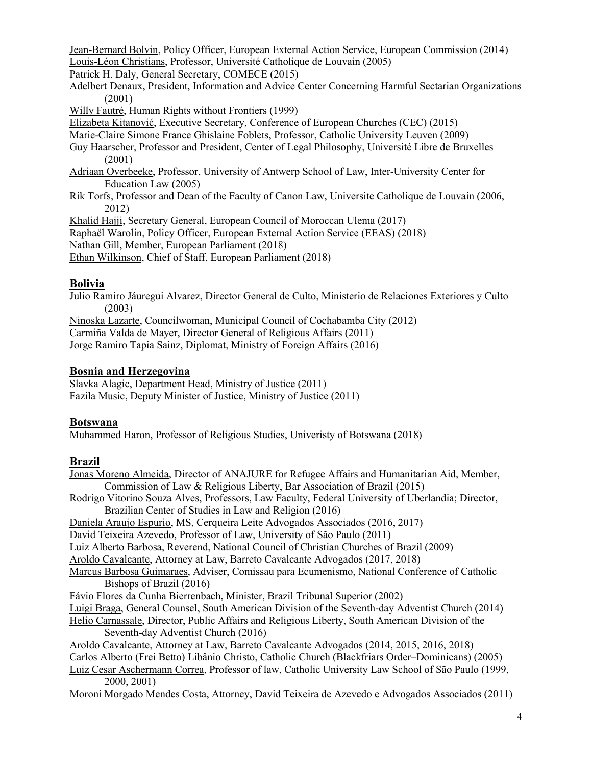Jean-Bernard Bolvin, Policy Officer, European External Action Service, European Commission (2014) Louis-Léon Christians, Professor, Université Catholique de Louvain (2005)

Patrick H. Daly, General Secretary, COMECE (2015)

- Adelbert Denaux, President, Information and Advice Center Concerning Harmful Sectarian Organizations (2001)
- Willy Fautré, Human Rights without Frontiers (1999)

Elizabeta Kitanović, Executive Secretary, Conference of European Churches (CEC) (2015)

Marie-Claire Simone France Ghislaine Foblets, Professor, Catholic University Leuven (2009)

- Guy Haarscher, Professor and President, Center of Legal Philosophy, Université Libre de Bruxelles (2001)
- Adriaan Overbeeke, Professor, University of Antwerp School of Law, Inter-University Center for Education Law (2005)
- Rik Torfs, Professor and Dean of the Faculty of Canon Law, Universite Catholique de Louvain (2006, 2012)

Khalid Hajji, Secretary General, European Council of Moroccan Ulema (2017)

Raphaël Warolin, Policy Officer, European External Action Service (EEAS) (2018)

Nathan Gill, Member, European Parliament (2018)

Ethan Wilkinson, Chief of Staff, European Parliament (2018)

# **Bolivia**

Julio Ramiro Jáuregui Alvarez, Director General de Culto, Ministerio de Relaciones Exteriores y Culto (2003)

Ninoska Lazarte, Councilwoman, Municipal Council of Cochabamba City (2012)

Carmiña Valda de Mayer, Director General of Religious Affairs (2011)

Jorge Ramiro Tapia Sainz, Diplomat, Ministry of Foreign Affairs (2016)

# **Bosnia and Herzegovina**

Slavka Alagic, Department Head, Ministry of Justice (2011) Fazila Music, Deputy Minister of Justice, Ministry of Justice (2011)

### **Botswana**

Muhammed Haron, Professor of Religious Studies, Univeristy of Botswana (2018)

# **Brazil**

| v. uzu                                                                                             |
|----------------------------------------------------------------------------------------------------|
| Jonas Moreno Almeida, Director of ANAJURE for Refugee Affairs and Humanitarian Aid, Member,        |
| Commission of Law & Religious Liberty, Bar Association of Brazil (2015)                            |
| Rodrigo Vitorino Souza Alves, Professors, Law Faculty, Federal University of Uberlandia; Director, |
| Brazilian Center of Studies in Law and Religion (2016)                                             |
| Daniela Araujo Espurio, MS, Cerqueira Leite Advogados Associados (2016, 2017)                      |
| David Teixeira Azevedo, Professor of Law, University of São Paulo (2011)                           |
| Luiz Alberto Barbosa, Reverend, National Council of Christian Churches of Brazil (2009)            |
| Aroldo Cavalcante, Attorney at Law, Barreto Cavalcante Advogados (2017, 2018)                      |
| Marcus Barbosa Guimaraes, Adviser, Comissau para Ecumenismo, National Conference of Catholic       |
| Bishops of Brazil (2016)                                                                           |
| Fávio Flores da Cunha Bierrenbach, Minister, Brazil Tribunal Superior (2002)                       |
| Luigi Braga, General Counsel, South American Division of the Seventh-day Adventist Church (2014)   |
| Helio Carnassale, Director, Public Affairs and Religious Liberty, South American Division of the   |
| Seventh-day Adventist Church (2016)                                                                |
| Aroldo Cavalcante, Attorney at Law, Barreto Cavalcante Advogados (2014, 2015, 2016, 2018)          |
| Carlos Alberto (Frei Betto) Libânio Christo, Catholic Church (Blackfriars Order–Dominicans) (2005) |
| Luiz Cesar Aschermann Correa, Professor of law, Catholic University Law School of São Paulo (1999, |
| 2000, 2001)                                                                                        |
| Moroni Morgado Mendes Costa, Attorney, David Teixeira de Azevedo e Advogados Associados (2011)     |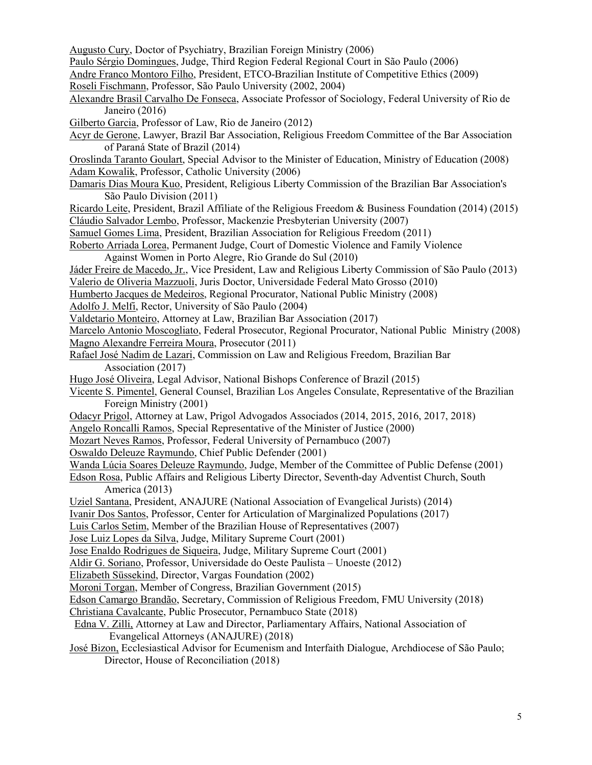Augusto Cury, Doctor of Psychiatry, Brazilian Foreign Ministry (2006)

Paulo Sérgio Domingues, Judge, Third Region Federal Regional Court in São Paulo (2006)

- Andre Franco Montoro Filho, President, ETCO-Brazilian Institute of Competitive Ethics (2009)
- Roseli Fischmann, Professor, São Paulo University (2002, 2004)
- Alexandre Brasil Carvalho De Fonseca, Associate Professor of Sociology, Federal University of Rio de Janeiro (2016)
- Gilberto Garcia, Professor of Law, Rio de Janeiro (2012)
- Acyr de Gerone, Lawyer, Brazil Bar Association, Religious Freedom Committee of the Bar Association of Paraná State of Brazil (2014)
- Oroslinda Taranto Goulart, Special Advisor to the Minister of Education, Ministry of Education (2008) Adam Kowalik, Professor, Catholic University (2006)
- Damaris Dias Moura Kuo, President, Religious Liberty Commission of the Brazilian Bar Association's São Paulo Division (2011)
- Ricardo Leite, President, Brazil Affiliate of the Religious Freedom & Business Foundation (2014) (2015) Cláudio Salvador Lembo, Professor, Mackenzie Presbyterian University (2007)
- Samuel Gomes Lima, President, Brazilian Association for Religious Freedom (2011)
- Roberto Arriada Lorea, Permanent Judge, Court of Domestic Violence and Family Violence Against Women in Porto Alegre, Rio Grande do Sul (2010)
- Jáder Freire de Macedo, Jr., Vice President, Law and Religious Liberty Commission of São Paulo (2013)
- Valerio de Oliveria Mazzuoli, Juris Doctor, Universidade Federal Mato Grosso (2010)
- Humberto Jacques de Medeiros, Regional Procurator, National Public Ministry (2008)
- Adolfo J. Melfi, Rector, University of São Paulo (2004)
- Valdetario Monteiro, Attorney at Law, Brazilian Bar Association (2017)

Marcelo Antonio Moscogliato, Federal Prosecutor, Regional Procurator, National Public Ministry (2008) Magno Alexandre Ferreira Moura, Prosecutor (2011)

- Rafael José Nadim de Lazari, Commission on Law and Religious Freedom, Brazilian Bar Association (2017)
- Hugo José Oliveira, Legal Advisor, National Bishops Conference of Brazil (2015)
- Vicente S. Pimentel, General Counsel, Brazilian Los Angeles Consulate, Representative of the Brazilian Foreign Ministry (2001)
- Odacyr Prigol, Attorney at Law, Prigol Advogados Associados (2014, 2015, 2016, 2017, 2018)
- Angelo Roncalli Ramos, Special Representative of the Minister of Justice (2000)
- Mozart Neves Ramos, Professor, Federal University of Pernambuco (2007)
- Oswaldo Deleuze Raymundo, Chief Public Defender (2001)
- Wanda Lúcia Soares Deleuze Raymundo, Judge, Member of the Committee of Public Defense (2001)
- Edson Rosa, Public Affairs and Religious Liberty Director, Seventh-day Adventist Church, South America (2013)
- Uziel Santana, President, ANAJURE (National Association of Evangelical Jurists) (2014)
- Ivanir Dos Santos, Professor, Center for Articulation of Marginalized Populations (2017)
- Luis Carlos Setim, Member of the Brazilian House of Representatives (2007)
- Jose Luiz Lopes da Silva, Judge, Military Supreme Court (2001)
- Jose Enaldo Rodrigues de Siqueira, Judge, Military Supreme Court (2001)
- Aldir G. Soriano, Professor, Universidade do Oeste Paulista Unoeste (2012)
- Elizabeth Süssekind, Director, Vargas Foundation (2002)
- Moroni Torgan, Member of Congress, Brazilian Government (2015)
- Edson Camargo Brandão, Secretary, Commission of Religious Freedom, FMU University (2018)
- Christiana Cavalcante, Public Prosecutor, Pernambuco State (2018)
- Edna V. Zilli, Attorney at Law and Director, Parliamentary Affairs, National Association of Evangelical Attorneys (ANAJURE) (2018)
- José Bizon, Ecclesiastical Advisor for Ecumenism and Interfaith Dialogue, Archdiocese of São Paulo; Director, House of Reconciliation (2018)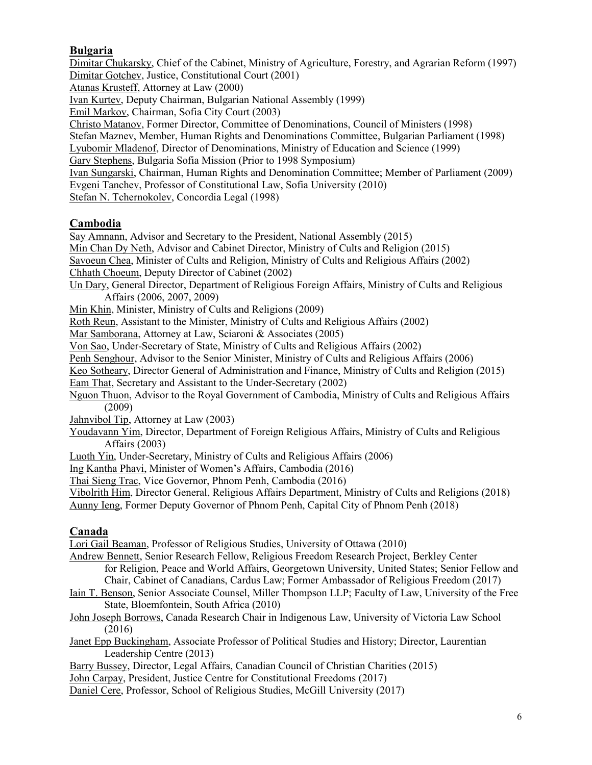# **Bulgaria**

Dimitar Chukarsky, Chief of the Cabinet, Ministry of Agriculture, Forestry, and Agrarian Reform (1997) Dimitar Gotchev, Justice, Constitutional Court (2001) Atanas Krusteff, Attorney at Law (2000) Ivan Kurtev, Deputy Chairman, Bulgarian National Assembly (1999) Emil Markov, Chairman, Sofia City Court (2003) Christo Matanov, Former Director, Committee of Denominations, Council of Ministers (1998) Stefan Maznev, Member, Human Rights and Denominations Committee, Bulgarian Parliament (1998) Lyubomir Mladenof, Director of Denominations, Ministry of Education and Science (1999) Gary Stephens, Bulgaria Sofia Mission (Prior to 1998 Symposium) Ivan Sungarski, Chairman, Human Rights and Denomination Committee; Member of Parliament (2009) Evgeni Tanchev, Professor of Constitutional Law, Sofia University (2010) Stefan N. Tchernokolev, Concordia Legal (1998)

### **Cambodia**

Say Amnann, Advisor and Secretary to the President, National Assembly (2015) Min Chan Dy Neth, Advisor and Cabinet Director, Ministry of Cults and Religion (2015) Savoeun Chea, Minister of Cults and Religion, Ministry of Cults and Religious Affairs (2002) Chhath Choeum, Deputy Director of Cabinet (2002) Un Dary, General Director, Department of Religious Foreign Affairs, Ministry of Cults and Religious Affairs (2006, 2007, 2009) Min Khin, Minister, Ministry of Cults and Religions (2009) Roth Reun, Assistant to the Minister, Ministry of Cults and Religious Affairs (2002) Mar Samborana, Attorney at Law, Sciaroni & Associates (2005) Von Sao, Under-Secretary of State, Ministry of Cults and Religious Affairs (2002) Penh Senghour, Advisor to the Senior Minister, Ministry of Cults and Religious Affairs (2006) Keo Sotheary, Director General of Administration and Finance, Ministry of Cults and Religion (2015) Eam That, Secretary and Assistant to the Under-Secretary (2002) Nguon Thuon, Advisor to the Royal Government of Cambodia, Ministry of Cults and Religious Affairs

(2009)

Jahnvibol Tip, Attorney at Law (2003)

Youdavann Yim, Director, Department of Foreign Religious Affairs, Ministry of Cults and Religious Affairs (2003)

Luoth Yin, Under-Secretary, Ministry of Cults and Religious Affairs (2006)

Ing Kantha Phavi, Minister of Women's Affairs, Cambodia (2016)

Thai Sieng Trac, Vice Governor, Phnom Penh, Cambodia (2016)

Vibolrith Him, Director General, Religious Affairs Department, Ministry of Cults and Religions (2018) Aunny Ieng, Former Deputy Governor of Phnom Penh, Capital City of Phnom Penh (2018)

### **Canada**

Lori Gail Beaman, Professor of Religious Studies, University of Ottawa (2010)

Andrew Bennett, Senior Research Fellow, Religious Freedom Research Project, Berkley Center for Religion, Peace and World Affairs, Georgetown University, United States; Senior Fellow and Chair, Cabinet of Canadians, Cardus Law; Former Ambassador of Religious Freedom (2017)

Iain T. Benson, Senior Associate Counsel, Miller Thompson LLP; Faculty of Law, University of the Free State, Bloemfontein, South Africa (2010)

John Joseph Borrows, Canada Research Chair in Indigenous Law, University of Victoria Law School (2016)

Janet Epp Buckingham, Associate Professor of Political Studies and History; Director, Laurentian Leadership Centre (2013)

Barry Bussey, Director, Legal Affairs, Canadian Council of Christian Charities (2015)

John Carpay, President, Justice Centre for Constitutional Freedoms (2017)

Daniel Cere, Professor, School of Religious Studies, McGill University (2017)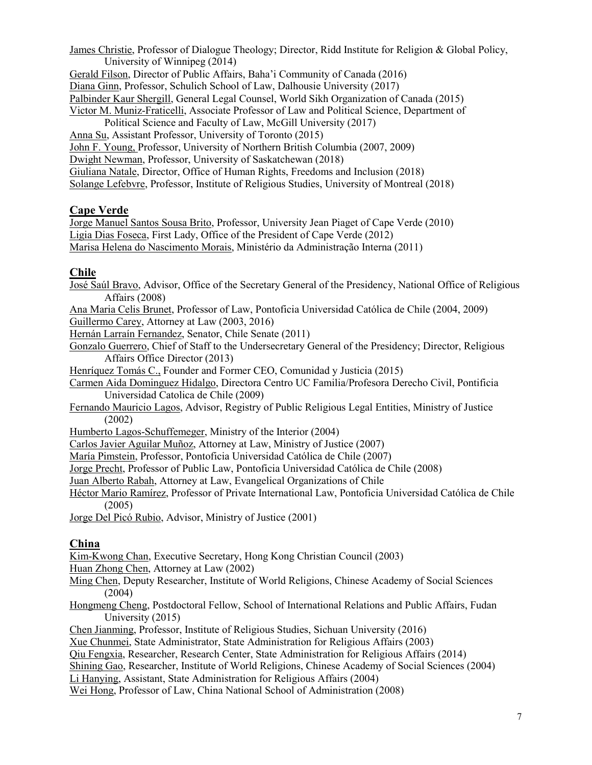James Christie, Professor of Dialogue Theology; Director, Ridd Institute for Religion & Global Policy, University of Winnipeg (2014)

Gerald Filson, Director of Public Affairs, Baha'i Community of Canada (2016)

Diana Ginn, Professor, Schulich School of Law, Dalhousie University (2017)

Palbinder Kaur Shergill, General Legal Counsel, World Sikh Organization of Canada (2015)

Victor M. Muniz-Fraticelli, Associate Professor of Law and Political Science, Department of

Political Science and Faculty of Law, McGill University (2017)

- Anna Su, Assistant Professor, University of Toronto (2015)
- John F. Young, Professor, University of Northern British Columbia (2007, 2009)

Dwight Newman, Professor, University of Saskatchewan (2018)

Giuliana Natale, Director, Office of Human Rights, Freedoms and Inclusion (2018)

Solange Lefebvre, Professor, Institute of Religious Studies, University of Montreal (2018)

### **Cape Verde**

Jorge Manuel Santos Sousa Brito, Professor, University Jean Piaget of Cape Verde (2010) Ligia Dias Foseca, First Lady, Office of the President of Cape Verde (2012) Marisa Helena do Nascimento Morais, Ministério da Administração Interna (2011)

### **Chile**

José Saúl Bravo, Advisor, Office of the Secretary General of the Presidency, National Office of Religious Affairs (2008)

Ana Maria Celis Brunet, Professor of Law, Pontoficia Universidad Católica de Chile (2004, 2009) Guillermo Carey, Attorney at Law (2003, 2016)

Hernán Larraín Fernandez, Senator, Chile Senate (2011)

- Gonzalo Guerrero, Chief of Staff to the Undersecretary General of the Presidency; Director, Religious Affairs Office Director (2013)
- Henríquez Tomás C., Founder and Former CEO, Comunidad y Justicia (2015)
- Carmen Aida Dominguez Hidalgo, Directora Centro UC Familia/Profesora Derecho Civil, Pontificia Universidad Catolica de Chile (2009)
- Fernando Mauricio Lagos, Advisor, Registry of Public Religious Legal Entities, Ministry of Justice (2002)

Humberto Lagos-Schuffemeger, Ministry of the Interior (2004)

Carlos Javier Aguilar Muñoz, Attorney at Law, Ministry of Justice (2007)

María Pimstein, Professor, Pontoficia Universidad Católica de Chile (2007)

Jorge Precht, Professor of Public Law, Pontoficia Universidad Católica de Chile (2008)

Juan Alberto Rabah, Attorney at Law, Evangelical Organizations of Chile

Héctor Mario Ramírez, Professor of Private International Law, Pontoficia Universidad Católica de Chile (2005)

Jorge Del Picó Rubio, Advisor, Ministry of Justice (2001)

### **China**

Kim-Kwong Chan, Executive Secretary, Hong Kong Christian Council (2003)

Huan Zhong Chen, Attorney at Law (2002)

- Ming Chen, Deputy Researcher, Institute of World Religions, Chinese Academy of Social Sciences (2004)
- Hongmeng Cheng, Postdoctoral Fellow, School of International Relations and Public Affairs, Fudan University (2015)

Chen Jianming, Professor, Institute of Religious Studies, Sichuan University (2016)

Xue Chunmei, State Administrator, State Administration for Religious Affairs (2003)

Qiu Fengxia, Researcher, Research Center, State Administration for Religious Affairs (2014)

Shining Gao, Researcher, Institute of World Religions, Chinese Academy of Social Sciences (2004)

Li Hanying, Assistant, State Administration for Religious Affairs (2004)

Wei Hong, Professor of Law, China National School of Administration (2008)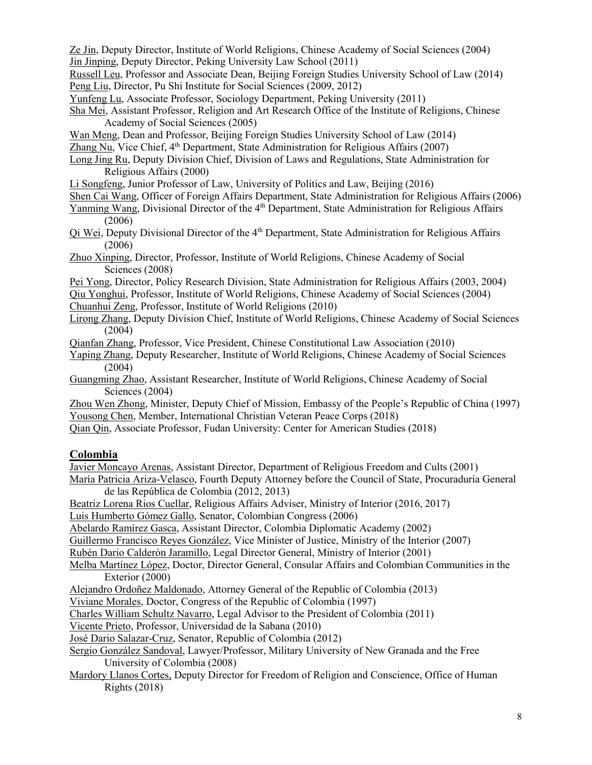Ze Jin, Deputy Director, Institute of World Religions, Chinese Academy of Social Sciences (2004) Jin Jinping, Deputy Director, Peking University Law School (2011)

Russell Leu, Professor and Associate Dean, Beijing Foreign Studies University School of Law (2014) Peng Liu, Director, Pu Shi Institute for Social Sciences (2009, 2012)

- Yunfeng Lu, Associate Professor, Sociology Department, Peking University (2011)
- Sha Mei, Assistant Professor, Religion and Art Research Office of the Institute of Religions, Chinese Academy of Social Sciences (2005)
- Wan Meng, Dean and Professor, Beijing Foreign Studies University School of Law (2014)
- Zhang Nu, Vice Chief, 4<sup>th</sup> Department, State Administration for Religious Affairs (2007)
- Long Jing Ru, Deputy Division Chief, Division of Laws and Regulations, State Administration for Religious Affairs (2000)
- Li Songfeng, Junior Professor of Law, University of Politics and Law, Beijing (2016)
- Shen Cai Wang, Officer of Foreign Affairs Department, State Administration for Religious Affairs (2006)
- Yanming Wang, Divisional Director of the 4<sup>th</sup> Department, State Administration for Religious Affairs (2006)
- Qi Wei, Deputy Divisional Director of the 4<sup>th</sup> Department, State Administration for Religious Affairs (2006)
- Zhuo Xinping, Director, Professor, Institute of World Religions, Chinese Academy of Social Sciences (2008)
- Pei Yong, Director, Policy Research Division, State Administration for Religious Affairs (2003, 2004)
- Qiu Yonghui, Professor, Institute of World Religions, Chinese Academy of Social Sciences (2004) Chuanhui Zeng, Professor, Institute of World Religions (2010)
- Lirong Zhang, Deputy Division Chief, Institute of World Religions, Chinese Academy of Social Sciences (2004)
- Qianfan Zhang, Professor, Vice President, Chinese Constitutional Law Association (2010)
- Yaping Zhang, Deputy Researcher, Institute of World Religions, Chinese Academy of Social Sciences (2004)
- Guangming Zhao, Assistant Researcher, Institute of World Religions, Chinese Academy of Social Sciences (2004)
- Zhou Wen Zhong, Minister, Deputy Chief of Mission, Embassy of the People's Republic of China (1997) Yousong Chen, Member, International Christian Veteran Peace Corps (2018)
- Qian Qin, Associate Professor, Fudan University: Center for American Studies (2018)

#### **Colombia**

Javier Moncayo Arenas, Assistant Director, Department of Religious Freedom and Cults (2001)

- María Patricia Ariza-Velasco, Fourth Deputy Attorney before the Council of State, Procuraduría General de las República de Colombia (2012, 2013)
- Beatriz Lorena Rios Cuellar, Religious Affairs Adviser, Ministry of Interior (2016, 2017)

Luis Humberto Gómez Gallo, Senator, Colombian Congress (2006)

Abelardo Ramírez Gasca, Assistant Director, Colombia Diplomatic Academy (2002)

Guillermo Francisco Reyes González, Vice Minister of Justice, Ministry of the Interior (2007)

Rubén Dario Calderón Jaramillo, Legal Director General, Ministry of Interior (2001)

- Melba Martínez López, Doctor, Director General, Consular Affairs and Colombian Communities in the Exterior (2000)
- Alejandro Ordoñez Maldonado, Attorney General of the Republic of Colombia (2013)

Viviane Morales, Doctor, Congress of the Republic of Colombia (1997)

Charles William Schultz Navarro, Legal Advisor to the President of Colombia (2011)

Vicente Prieto, Professor, Universidad de la Sabana (2010)

- José Dario Salazar-Cruz, Senator, Republic of Colombia (2012)
- Sergio González Sandoval, Lawyer/Professor, Military University of New Granada and the Free University of Colombia (2008)
- Mardory Llanos Cortes, Deputy Director for Freedom of Religion and Conscience, Office of Human Rights (2018)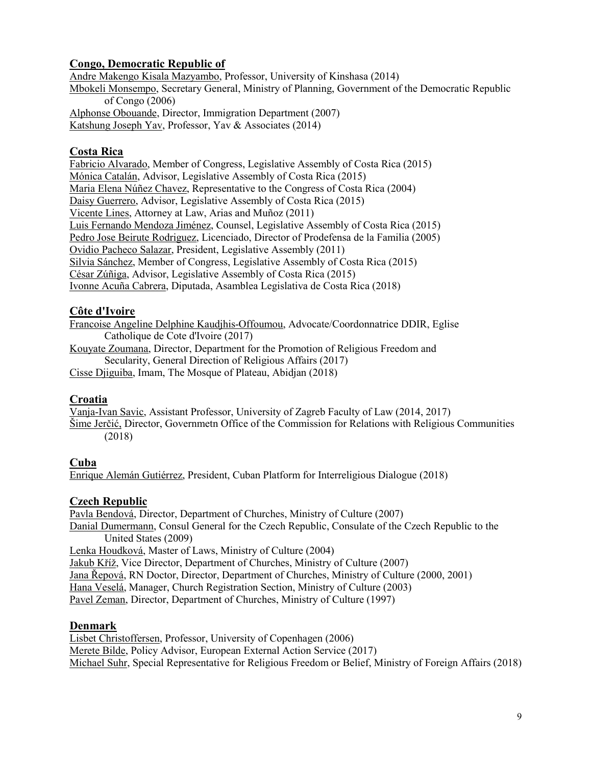### **Congo, Democratic Republic of**

Andre Makengo Kisala Mazyambo, Professor, University of Kinshasa (2014) Mbokeli Monsempo, Secretary General, Ministry of Planning, Government of the Democratic Republic of Congo (2006) Alphonse Obouande, Director, Immigration Department (2007) Katshung Joseph Yav, Professor, Yav & Associates (2014)

#### **Costa Rica**

Fabricio Alvarado, Member of Congress, Legislative Assembly of Costa Rica (2015) Mónica Catalán, Advisor, Legislative Assembly of Costa Rica (2015) Maria Elena Núñez Chavez, Representative to the Congress of Costa Rica (2004) Daisy Guerrero, Advisor, Legislative Assembly of Costa Rica (2015) Vicente Lines, Attorney at Law, Arias and Muñoz (2011) Luis Fernando Mendoza Jiménez, Counsel, Legislative Assembly of Costa Rica (2015) Pedro Jose Beirute Rodriguez, Licenciado, Director of Prodefensa de la Familia (2005) Ovidio Pacheco Salazar, President, Legislative Assembly (2011) Silvia Sánchez, Member of Congress, Legislative Assembly of Costa Rica (2015) César Zúñiga, Advisor, Legislative Assembly of Costa Rica (2015) Ivonne Acuña Cabrera, Diputada, Asamblea Legislativa de Costa Rica (2018)

### **Côte d'Ivoire**

Francoise Angeline Delphine Kaudjhis-Offoumou, Advocate/Coordonnatrice DDIR, Eglise Catholique de Cote d'Ivoire (2017) Kouyate Zoumana, Director, Department for the Promotion of Religious Freedom and

Secularity, General Direction of Religious Affairs (2017)

Cisse Djiguiba, Imam, The Mosque of Plateau, Abidjan (2018)

#### **Croatia**

Vanja-Ivan Savic, Assistant Professor, University of Zagreb Faculty of Law (2014, 2017) Šime Jerčić, Director, Governmetn Office of the Commission for Relations with Religious Communities (2018)

#### **Cuba**

Enrique Alemán Gutiérrez, President, Cuban Platform for Interreligious Dialogue (2018)

#### **Czech Republic**

Pavla Bendová, Director, Department of Churches, Ministry of Culture (2007) Danial Dumermann, Consul General for the Czech Republic, Consulate of the Czech Republic to the United States (2009) Lenka Houdková, Master of Laws, Ministry of Culture (2004) Jakub Kříž, Vice Director, Department of Churches, Ministry of Culture (2007) Jana Řepová, RN Doctor, Director, Department of Churches, Ministry of Culture (2000, 2001) Hana Veselá, Manager, Church Registration Section, Ministry of Culture (2003) Pavel Zeman, Director, Department of Churches, Ministry of Culture (1997)

#### **Denmark**

Lisbet Christoffersen, Professor, University of Copenhagen (2006) Merete Bilde, Policy Advisor, European External Action Service (2017) Michael Suhr, Special Representative for Religious Freedom or Belief, Ministry of Foreign Affairs (2018)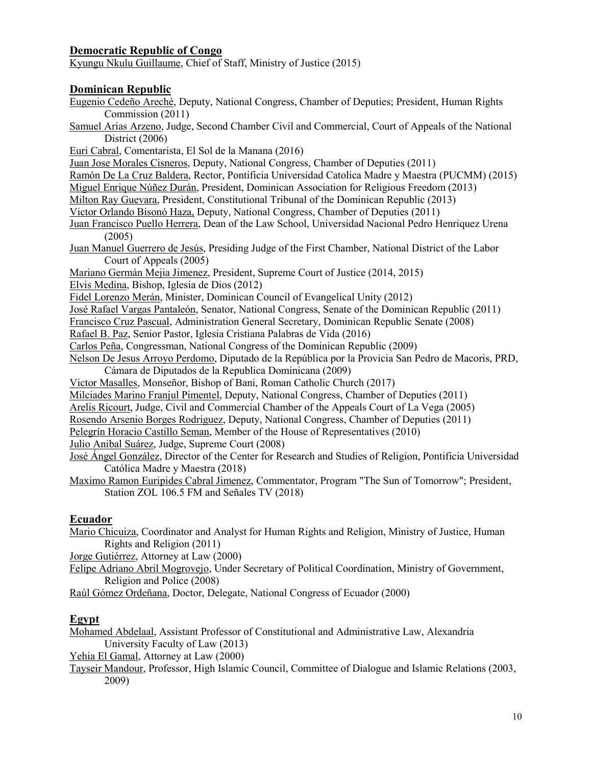### **Democratic Republic of Congo**

Kyungu Nkulu Guillaume, Chief of Staff, Ministry of Justice (2015)

#### **Dominican Republic**

Eugenio Cedeño Areché, Deputy, National Congress, Chamber of Deputies; President, Human Rights Commission (2011)

Samuel Arias Arzeno, Judge, Second Chamber Civil and Commercial, Court of Appeals of the National District (2006)

Euri Cabral, Comentarista, El Sol de la Manana (2016)

Juan Jose Morales Cisneros, Deputy, National Congress, Chamber of Deputies (2011)

Ramón De La Cruz Baldera, Rector, Pontificia Universidad Catolica Madre y Maestra (PUCMM) (2015)

Miguel Enrique Núñez Durán, President, Dominican Association for Religious Freedom (2013)

Milton Ray Guevara, President, Constitutional Tribunal of the Dominican Republic (2013)

Victor Orlando Bisonó Haza, Deputy, National Congress, Chamber of Deputies (2011)

Juan Francisco Puello Herrera, Dean of the Law School, Universidad Nacional Pedro Henriquez Urena (2005)

Juan Manuel Guerrero de Jesús, Presiding Judge of the First Chamber, National District of the Labor Court of Appeals (2005)

Mariano Germán Mejia Jimenez, President, Supreme Court of Justice (2014, 2015)

Elvis Medina, Bishop, Iglesia de Dios (2012)

Fidel Lorenzo Merán, Minister, Dominican Council of Evangelical Unity (2012)

José Rafael Vargas Pantaleón, Senator, National Congress, Senate of the Dominican Republic (2011)

Francisco Cruz Pascual, Administration General Secretary, Dominican Republic Senate (2008)

Rafael B. Paz, Senior Pastor, Iglesia Cristiana Palabras de Vida (2016)

Carlos Peña, Congressman, National Congress of the Dominican Republic (2009)

- Nelson De Jesus Arroyo Perdomo, Diputado de la República por la Provicia San Pedro de Macoris, PRD, Cámara de Diputados de la Republica Dominicana (2009)
- Victor Masalles, Monseñor, Bishop of Bani, Roman Catholic Church (2017)

Milciades Marino Franjul Pimentel, Deputy, National Congress, Chamber of Deputies (2011)

Arelis Ricourt, Judge, Civil and Commercial Chamber of the Appeals Court of La Vega (2005)

Rosendo Arsenio Borges Rodriguez, Deputy, National Congress, Chamber of Deputies (2011)

Pelegrín Horacio Castillo Seman, Member of the House of Representatives (2010)

Julio Anibal Suárez, Judge, Supreme Court (2008)

José Ángel González, Director of the Center for Research and Studies of Religion, Pontificia Universidad Católica Madre y Maestra (2018)

Maximo Ramon Euripides Cabral Jimenez, Commentator, Program "The Sun of Tomorrow"; President, Station ZOL 106.5 FM and Señales TV (2018)

#### **Ecuador**

Mario Chicuiza, Coordinator and Analyst for Human Rights and Religion, Ministry of Justice, Human Rights and Religion (2011)

Jorge Gutiérrez, Attorney at Law (2000)

Felipe Adriano Abril Mogrovejo, Under Secretary of Political Coordination, Ministry of Government, Religion and Police (2008)

Raúl Gómez Ordeñana, Doctor, Delegate, National Congress of Ecuador (2000)

#### **Egypt**

Mohamed Abdelaal, Assistant Professor of Constitutional and Administrative Law, Alexandria University Faculty of Law (2013)

Yehia El Gamal, Attorney at Law (2000)

Tayseir Mandour, Professor, High Islamic Council, Committee of Dialogue and Islamic Relations (2003, 2009)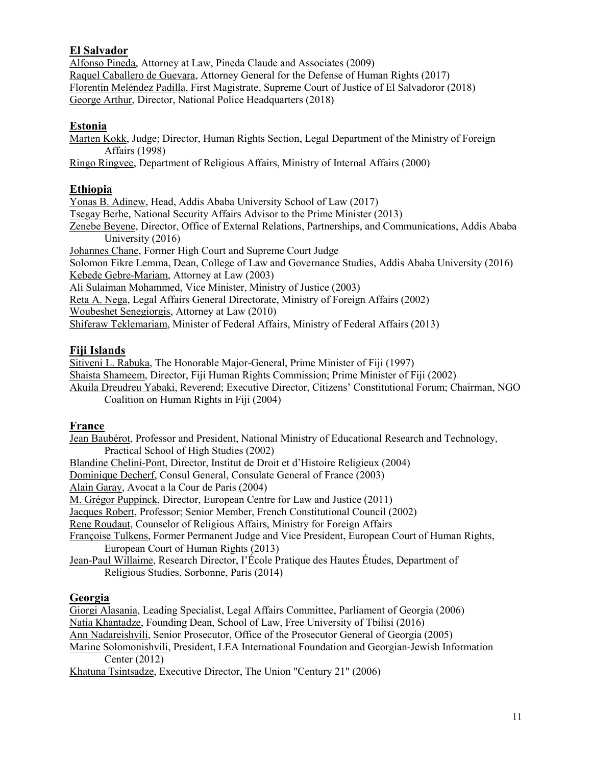### **El Salvador**

Alfonso Pineda, Attorney at Law, Pineda Claude and Associates (2009) Raquel Caballero de Guevara, Attorney General for the Defense of Human Rights (2017) Florentín Meléndez Padilla, First Magistrate, Supreme Court of Justice of El Salvadoror (2018) George Arthur, Director, National Police Headquarters (2018)

#### **Estonia**

Marten Kokk, Judge; Director, Human Rights Section, Legal Department of the Ministry of Foreign Affairs (1998)

Ringo Ringvee, Department of Religious Affairs, Ministry of Internal Affairs (2000)

#### **Ethiopia**

Yonas B. Adinew, Head, Addis Ababa University School of Law (2017) Tsegay Berhe, National Security Affairs Advisor to the Prime Minister (2013) Zenebe Beyene, Director, Office of External Relations, Partnerships, and Communications, Addis Ababa University (2016) Johannes Chane, Former High Court and Supreme Court Judge Solomon Fikre Lemma, Dean, College of Law and Governance Studies, Addis Ababa University (2016) Kebede Gebre-Mariam, Attorney at Law (2003) Ali Sulaiman Mohammed, Vice Minister, Ministry of Justice (2003) Reta A. Nega, Legal Affairs General Directorate, Ministry of Foreign Affairs (2002) Woubeshet Senegiorgis, Attorney at Law (2010) Shiferaw Teklemariam, Minister of Federal Affairs, Ministry of Federal Affairs (2013)

#### **Fiji Islands**

Sitiveni L. Rabuka, The Honorable Major-General, Prime Minister of Fiji (1997) Shaista Shameem, Director, Fiji Human Rights Commission; Prime Minister of Fiji (2002) Akuila Dreudreu Yabaki, Reverend; Executive Director, Citizens' Constitutional Forum; Chairman, NGO Coalition on Human Rights in Fiji (2004)

#### **France**

Jean Baubérot, Professor and President, National Ministry of Educational Research and Technology, Practical School of High Studies (2002) Blandine Chelini-Pont, Director, Institut de Droit et d'Histoire Religieux (2004) Dominique Decherf, Consul General, Consulate General of France (2003) Alain Garay, Avocat a la Cour de Paris (2004) M. Grégor Puppinck, Director, European Centre for Law and Justice (2011) Jacques Robert, Professor; Senior Member, French Constitutional Council (2002) Rene Roudaut, Counselor of Religious Affairs, Ministry for Foreign Affairs Françoise Tulkens, Former Permanent Judge and Vice President, European Court of Human Rights, European Court of Human Rights (2013) Jean-Paul Willaime, Research Director, I'École Pratique des Hautes Études, Department of Religious Studies, Sorbonne, Paris (2014)

### **Georgia**

Giorgi Alasania, Leading Specialist, Legal Affairs Committee, Parliament of Georgia (2006) Natia Khantadze, Founding Dean, School of Law, Free University of Tbilisi (2016) Ann Nadareishvili, Senior Prosecutor, Office of the Prosecutor General of Georgia (2005) Marine Solomonishvili, President, LEA International Foundation and Georgian-Jewish Information Center (2012) Khatuna Tsintsadze, Executive Director, The Union "Century 21" (2006)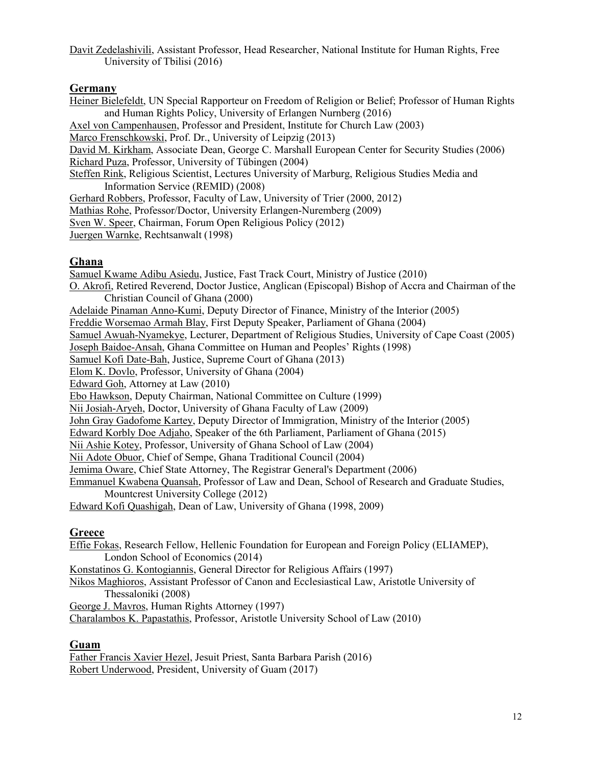Davit Zedelashivili, Assistant Professor, Head Researcher, National Institute for Human Rights, Free University of Tbilisi (2016)

#### **Germany**

Heiner Bielefeldt, UN Special Rapporteur on Freedom of Religion or Belief; Professor of Human Rights and Human Rights Policy, University of Erlangen Nurnberg (2016) Axel von Campenhausen, Professor and President, Institute for Church Law (2003) Marco Frenschkowski, Prof. Dr., University of Leipzig (2013) David M. Kirkham, Associate Dean, George C. Marshall European Center for Security Studies (2006) Richard Puza, Professor, University of Tübingen (2004) Steffen Rink, Religious Scientist, Lectures University of Marburg, Religious Studies Media and Information Service (REMID) (2008) Gerhard Robbers, Professor, Faculty of Law, University of Trier (2000, 2012) Mathias Rohe, Professor/Doctor, University Erlangen-Nuremberg (2009) Sven W. Speer, Chairman, Forum Open Religious Policy (2012) Juergen Warnke, Rechtsanwalt (1998)

#### **Ghana**

Samuel Kwame Adibu Asiedu, Justice, Fast Track Court, Ministry of Justice (2010) O. Akrofi, Retired Reverend, Doctor Justice, Anglican (Episcopal) Bishop of Accra and Chairman of the Christian Council of Ghana (2000) Adelaide Pinaman Anno-Kumi, Deputy Director of Finance, Ministry of the Interior (2005) Freddie Worsemao Armah Blay, First Deputy Speaker, Parliament of Ghana (2004) Samuel Awuah-Nyamekye, Lecturer, Department of Religious Studies, University of Cape Coast (2005) Joseph Baidoe-Ansah, Ghana Committee on Human and Peoples' Rights (1998) Samuel Kofi Date-Bah, Justice, Supreme Court of Ghana (2013) Elom K. Dovlo, Professor, University of Ghana (2004) Edward Goh, Attorney at Law (2010) Ebo Hawkson, Deputy Chairman, National Committee on Culture (1999) Nii Josiah-Aryeh, Doctor, University of Ghana Faculty of Law (2009) John Gray Gadofome Kartey, Deputy Director of Immigration, Ministry of the Interior (2005) Edward Korbly Doe Adjaho, Speaker of the 6th Parliament, Parliament of Ghana (2015) Nii Ashie Kotey, Professor, University of Ghana School of Law (2004) Nii Adote Obuor, Chief of Sempe, Ghana Traditional Council (2004) Jemima Oware, Chief State Attorney, The Registrar General's Department (2006) Emmanuel Kwabena Quansah, Professor of Law and Dean, School of Research and Graduate Studies, Mountcrest University College (2012) Edward Kofi Quashigah, Dean of Law, University of Ghana (1998, 2009)

#### **Greece**

Effie Fokas, Research Fellow, Hellenic Foundation for European and Foreign Policy (ELIAMEP), London School of Economics (2014) Konstatinos G. Kontogiannis, General Director for Religious Affairs (1997) Nikos Maghioros, Assistant Professor of Canon and Ecclesiastical Law, Aristotle University of Thessaloniki (2008) George J. Mavros, Human Rights Attorney (1997) Charalambos K. Papastathis, Professor, Aristotle University School of Law (2010)

#### **Guam**

Father Francis Xavier Hezel, Jesuit Priest, Santa Barbara Parish (2016) Robert Underwood, President, University of Guam (2017)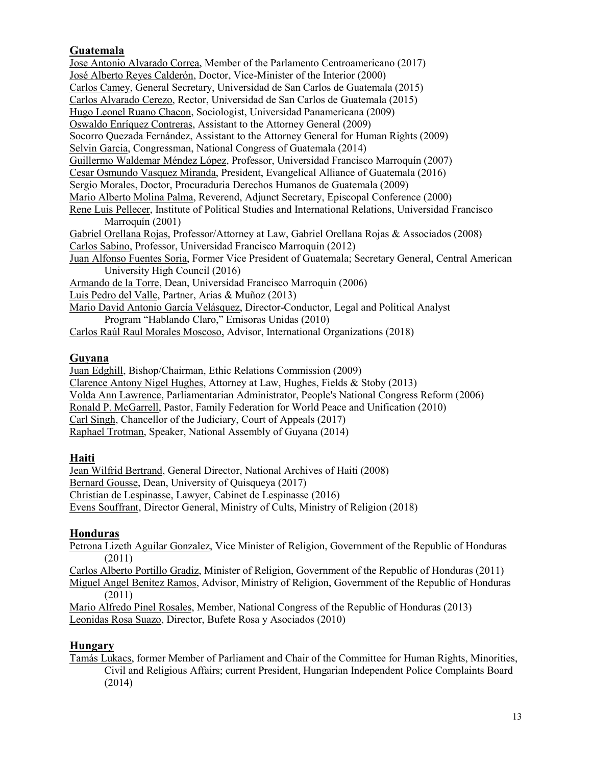## **Guatemala**

Jose Antonio Alvarado Correa, Member of the Parlamento Centroamericano (2017) José Alberto Reyes Calderón, Doctor, Vice-Minister of the Interior (2000) Carlos Camey, General Secretary, Universidad de San Carlos de Guatemala (2015) Carlos Alvarado Cerezo, Rector, Universidad de San Carlos de Guatemala (2015) Hugo Leonel Ruano Chacon, Sociologist, Universidad Panamericana (2009) Oswaldo Enríquez Contreras, Assistant to the Attorney General (2009) Socorro Quezada Fernández, Assistant to the Attorney General for Human Rights (2009) Selvin Garcia, Congressman, National Congress of Guatemala (2014) Guillermo Waldemar Méndez López, Professor, Universidad Francisco Marroquín (2007) Cesar Osmundo Vasquez Miranda, President, Evangelical Alliance of Guatemala (2016) Sergio Morales, Doctor, Procuraduria Derechos Humanos de Guatemala (2009) Mario Alberto Molina Palma, Reverend, Adjunct Secretary, Episcopal Conference (2000) Rene Luis Pellecer, Institute of Political Studies and International Relations, Universidad Francisco Marroquín (2001) Gabriel Orellana Rojas, Professor/Attorney at Law, Gabriel Orellana Rojas & Associados (2008) Carlos Sabino, Professor, Universidad Francisco Marroquin (2012) Juan Alfonso Fuentes Soria, Former Vice President of Guatemala; Secretary General, Central American University High Council (2016) Armando de la Torre, Dean, Universidad Francisco Marroquin (2006) Luis Pedro del Valle, Partner, Arias & Muñoz (2013) Mario David Antonio García Velásquez, Director-Conductor, Legal and Political Analyst Program "Hablando Claro," Emisoras Unidas (2010) Carlos Raúl Raul Morales Moscoso, Advisor, International Organizations (2018)

### **Guyana**

Juan Edghill, Bishop/Chairman, Ethic Relations Commission (2009) Clarence Antony Nigel Hughes, Attorney at Law, Hughes, Fields & Stoby (2013) Volda Ann Lawrence, Parliamentarian Administrator, People's National Congress Reform (2006) Ronald P. McGarrell, Pastor, Family Federation for World Peace and Unification (2010) Carl Singh, Chancellor of the Judiciary, Court of Appeals (2017) Raphael Trotman, Speaker, National Assembly of Guyana (2014)

### **Haiti**

Jean Wilfrid Bertrand, General Director, National Archives of Haiti (2008) Bernard Gousse, Dean, University of Quisqueya (2017) Christian de Lespinasse, Lawyer, Cabinet de Lespinasse (2016) Evens Souffrant, Director General, Ministry of Cults, Ministry of Religion (2018)

### **Honduras**

Petrona Lizeth Aguilar Gonzalez, Vice Minister of Religion, Government of the Republic of Honduras (2011)

Carlos Alberto Portillo Gradiz, Minister of Religion, Government of the Republic of Honduras (2011) Miguel Angel Benitez Ramos, Advisor, Ministry of Religion, Government of the Republic of Honduras (2011)

Mario Alfredo Pinel Rosales, Member, National Congress of the Republic of Honduras (2013) Leonidas Rosa Suazo, Director, Bufete Rosa y Asociados (2010)

### **Hungary**

Tamás Lukacs, former Member of Parliament and Chair of the Committee for Human Rights, Minorities, Civil and Religious Affairs; current President, Hungarian Independent Police Complaints Board (2014)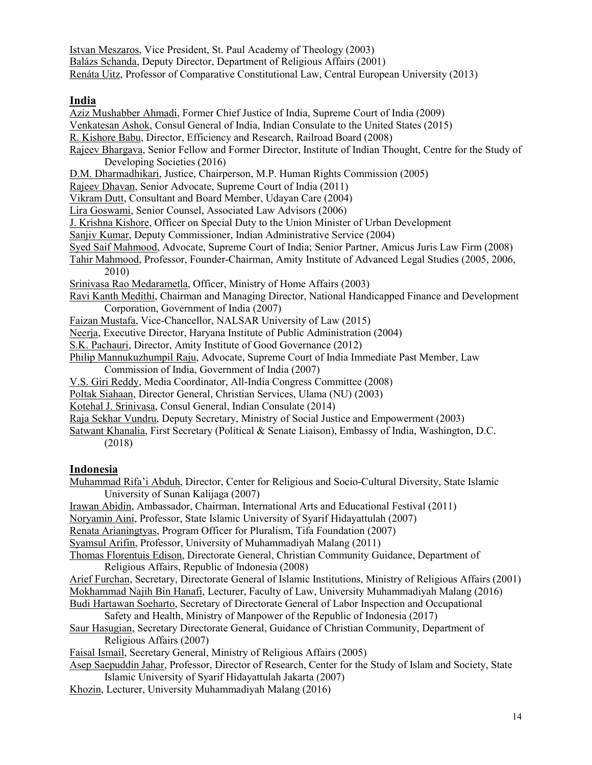Istvan Meszaros, Vice President, St. Paul Academy of Theology (2003) Balázs Schanda, Deputy Director, Department of Religious Affairs (2001) Renáta Uitz, Professor of Comparative Constitutional Law, Central European University (2013)

#### **India**

Aziz Mushabber Ahmadi, Former Chief Justice of India, Supreme Court of India (2009) Venkatesan Ashok, Consul General of India, Indian Consulate to the United States (2015) R. Kishore Babu, Director, Efficiency and Research, Railroad Board (2008) Rajeev Bhargava, Senior Fellow and Former Director, Institute of Indian Thought, Centre for the Study of Developing Societies (2016) D.M. Dharmadhikari, Justice, Chairperson, M.P. Human Rights Commission (2005) Rajeev Dhavan, Senior Advocate, Supreme Court of India (2011) Vikram Dutt, Consultant and Board Member, Udayan Care (2004) Lira Goswami, Senior Counsel, Associated Law Advisors (2006) J. Krishna Kishore, Officer on Special Duty to the Union Minister of Urban Development Sanjiv Kumar, Deputy Commissioner, Indian Administrative Service (2004) Syed Saif Mahmood, Advocate, Supreme Court of India; Senior Partner, Amicus Juris Law Firm (2008) Tahir Mahmood, Professor, Founder-Chairman, Amity Institute of Advanced Legal Studies (2005, 2006, 2010) Srinivasa Rao Medarametla, Officer, Ministry of Home Affairs (2003) Ravi Kanth Medithi, Chairman and Managing Director, National Handicapped Finance and Development Corporation, Government of India (2007) Faizan Mustafa, Vice-Chancellor, NALSAR University of Law (2015) Neerja, Executive Director, Haryana Institute of Public Administration (2004) S.K. Pachauri, Director, Amity Institute of Good Governance (2012) Philip Mannukuzhumpil Raju, Advocate, Supreme Court of India Immediate Past Member, Law Commission of India, Government of India (2007) V.S. Giri Reddy, Media Coordinator, All-India Congress Committee (2008) Poltak Siahaan, Director General, Christian Services, Ulama (NU) (2003) Kotehal J. Srinivasa, Consul General, Indian Consulate (2014) Raja Sekhar Vundru, Deputy Secretary, Ministry of Social Justice and Empowerment (2003) Satwant Khanalia, First Secretary (Political & Senate Liaison), Embassy of India, Washington, D.C.

(2018)

### **Indonesia**

Muhammad Rifa'i Abduh, Director, Center for Religious and Socio-Cultural Diversity, State Islamic University of Sunan Kalijaga (2007)

Irawan Abidin, Ambassador, Chairman, International Arts and Educational Festival (2011)

Noryamin Aini, Professor, State Islamic University of Syarif Hidayattulah (2007)

Renata Arianingtyas, Program Officer for Pluralism, Tifa Foundation (2007)

Syamsul Arifin, Professor, University of Muhammadiyah Malang (2011)

Thomas Florentuis Edison, Directorate General, Christian Community Guidance, Department of Religious Affairs, Republic of Indonesia (2008)

Arief Furchan, Secretary, Directorate General of Islamic Institutions, Ministry of Religious Affairs (2001) Mokhammad Najih Bin Hanafi, Lecturer, Faculty of Law, University Muhammadiyah Malang (2016) Budi Hartawan Soeharto, Secretary of Directorate General of Labor Inspection and Occupational

Safety and Health, Ministry of Manpower of the Republic of Indonesia (2017)

Saur Hasugian, Secretary Directorate General, Guidance of Christian Community, Department of Religious Affairs (2007)

Faisal Ismail, Secretary General, Ministry of Religious Affairs (2005)

Asep Saepuddin Jahar, Professor, Director of Research, Center for the Study of Islam and Society, State Islamic University of Syarif Hidayattulah Jakarta (2007)

Khozin, Lecturer, University Muhammadiyah Malang (2016)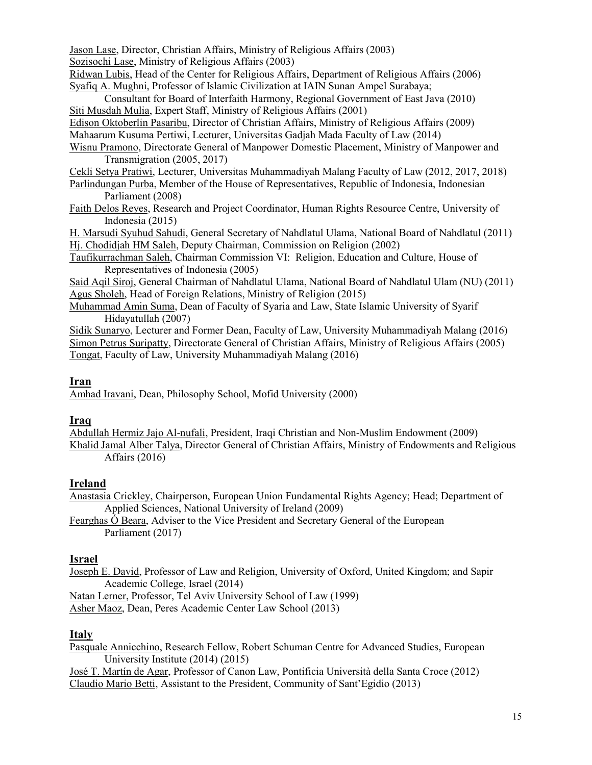Jason Lase, Director, Christian Affairs, Ministry of Religious Affairs (2003) Sozisochi Lase, Ministry of Religious Affairs (2003)

Ridwan Lubis, Head of the Center for Religious Affairs, Department of Religious Affairs (2006) Syafiq A. Mughni, Professor of Islamic Civilization at IAIN Sunan Ampel Surabaya;

Consultant for Board of Interfaith Harmony, Regional Government of East Java (2010) Siti Musdah Mulia, Expert Staff, Ministry of Religious Affairs (2001)

Edison Oktoberlin Pasaribu, Director of Christian Affairs, Ministry of Religious Affairs (2009)

Mahaarum Kusuma Pertiwi, Lecturer, Universitas Gadjah Mada Faculty of Law (2014)

Wisnu Pramono, Directorate General of Manpower Domestic Placement, Ministry of Manpower and Transmigration (2005, 2017)

Cekli Setya Pratiwi, Lecturer, Universitas Muhammadiyah Malang Faculty of Law (2012, 2017, 2018) Parlindungan Purba, Member of the House of Representatives, Republic of Indonesia, Indonesian Parliament (2008)

Faith Delos Reyes, Research and Project Coordinator, Human Rights Resource Centre, University of Indonesia (2015)

H. Marsudi Syuhud Sahudi, General Secretary of Nahdlatul Ulama, National Board of Nahdlatul (2011) Hj. Chodidjah HM Saleh, Deputy Chairman, Commission on Religion (2002)

Taufikurrachman Saleh, Chairman Commission VI: Religion, Education and Culture, House of Representatives of Indonesia (2005)

Said Aqil Siroj, General Chairman of Nahdlatul Ulama, National Board of Nahdlatul Ulam (NU) (2011) Agus Sholeh, Head of Foreign Relations, Ministry of Religion (2015)

Muhammad Amin Suma, Dean of Faculty of Syaria and Law, State Islamic University of Syarif Hidayatullah (2007)

Sidik Sunaryo, Lecturer and Former Dean, Faculty of Law, University Muhammadiyah Malang (2016) Simon Petrus Suripatty, Directorate General of Christian Affairs, Ministry of Religious Affairs (2005) Tongat, Faculty of Law, University Muhammadiyah Malang (2016)

### **Iran**

Amhad Iravani, Dean, Philosophy School, Mofid University (2000)

#### **Iraq**

Abdullah Hermiz Jajo Al-nufali, President, Iraqi Christian and Non-Muslim Endowment (2009) Khalid Jamal Alber Talya, Director General of Christian Affairs, Ministry of Endowments and Religious Affairs (2016)

### **Ireland**

Anastasia Crickley, Chairperson, European Union Fundamental Rights Agency; Head; Department of Applied Sciences, National University of Ireland (2009)

Fearghas Ó Beara, Adviser to the Vice President and Secretary General of the European Parliament (2017)

#### **Israel**

Joseph E. David, Professor of Law and Religion, University of Oxford, United Kingdom; and Sapir Academic College, Israel (2014)

Natan Lerner, Professor, Tel Aviv University School of Law (1999)

Asher Maoz, Dean, Peres Academic Center Law School (2013)

#### **Italy**

Pasquale Annicchino, Research Fellow, Robert Schuman Centre for Advanced Studies, European University Institute (2014) (2015)

José T. Martín de Agar, Professor of Canon Law, Pontificia Università della Santa Croce (2012) Claudio Mario Betti, Assistant to the President, Community of Sant'Egidio (2013)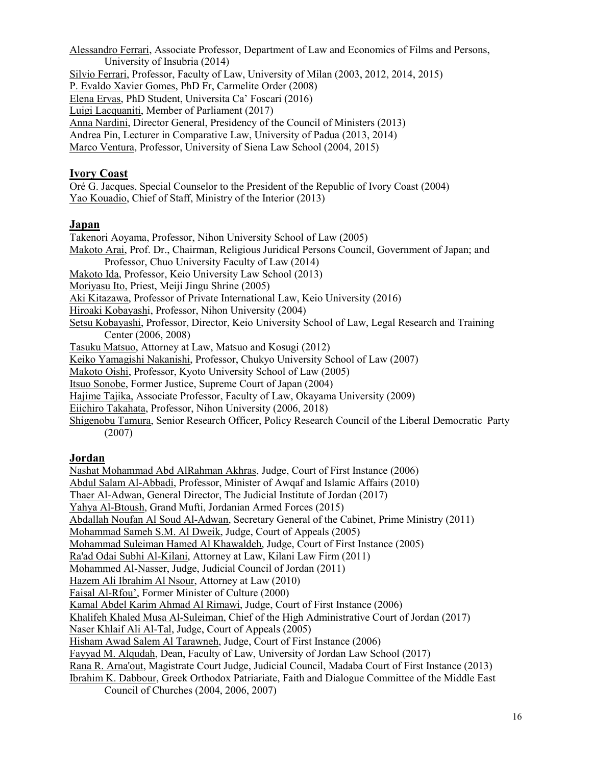Alessandro Ferrari, Associate Professor, Department of Law and Economics of Films and Persons, University of Insubria (2014) Silvio Ferrari, Professor, Faculty of Law, University of Milan (2003, 2012, 2014, 2015) P. Evaldo Xavier Gomes, PhD Fr, Carmelite Order (2008) Elena Ervas, PhD Student, Universita Ca' Foscari (2016) Luigi Lacquaniti, Member of Parliament (2017) Anna Nardini, Director General, Presidency of the Council of Ministers (2013) Andrea Pin, Lecturer in Comparative Law, University of Padua (2013, 2014) Marco Ventura, Professor, University of Siena Law School (2004, 2015)

#### **Ivory Coast**

Oré G. Jacques, Special Counselor to the President of the Republic of Ivory Coast (2004) Yao Kouadio, Chief of Staff, Ministry of the Interior (2013)

### **Japan**

Takenori Aoyama, Professor, Nihon University School of Law (2005) Makoto Arai, Prof. Dr., Chairman, Religious Juridical Persons Council, Government of Japan; and Professor, Chuo University Faculty of Law (2014) Makoto Ida, Professor, Keio University Law School (2013) Moriyasu Ito, Priest, Meiji Jingu Shrine (2005) Aki Kitazawa, Professor of Private International Law, Keio University (2016) Hiroaki Kobayashi, Professor, Nihon University (2004) Setsu Kobayashi, Professor, Director, Keio University School of Law, Legal Research and Training Center (2006, 2008) Tasuku Matsuo, Attorney at Law, Matsuo and Kosugi (2012) Keiko Yamagishi Nakanishi, Professor, Chukyo University School of Law (2007) Makoto Oishi, Professor, Kyoto University School of Law (2005) Itsuo Sonobe, Former Justice, Supreme Court of Japan (2004) Hajime Tajika, Associate Professor, Faculty of Law, Okayama University (2009) Eiichiro Takahata, Professor, Nihon University (2006, 2018) Shigenobu Tamura, Senior Research Officer, Policy Research Council of the Liberal Democratic Party (2007)

### **Jordan**

Nashat Mohammad Abd AlRahman Akhras, Judge, Court of First Instance (2006) Abdul Salam Al-Abbadi, Professor, Minister of Awqaf and Islamic Affairs (2010) Thaer Al-Adwan, General Director, The Judicial Institute of Jordan (2017) Yahya Al-Btoush, Grand Mufti, Jordanian Armed Forces (2015) Abdallah Noufan Al Soud Al-Adwan, Secretary General of the Cabinet, Prime Ministry (2011) Mohammad Sameh S.M. Al Dweik, Judge, Court of Appeals (2005) Mohammad Suleiman Hamed Al Khawaldeh, Judge, Court of First Instance (2005) Ra'ad Odai Subhi Al-Kilani, Attorney at Law, Kilani Law Firm (2011) Mohammed Al-Nasser, Judge, Judicial Council of Jordan (2011) Hazem Ali Ibrahim Al Nsour, Attorney at Law (2010) Faisal Al-Rfou', Former Minister of Culture (2000) Kamal Abdel Karim Ahmad Al Rimawi, Judge, Court of First Instance (2006) Khalifeh Khaled Musa Al-Suleiman, Chief of the High Administrative Court of Jordan (2017) Naser Khlaif Ali Al-Tal, Judge, Court of Appeals (2005) Hisham Awad Salem Al Tarawneh, Judge, Court of First Instance (2006) Fayyad M. Alqudah, Dean, Faculty of Law, University of Jordan Law School (2017) Rana R. Arna'out, Magistrate Court Judge, Judicial Council, Madaba Court of First Instance (2013) Ibrahim K. Dabbour, Greek Orthodox Patriariate, Faith and Dialogue Committee of the Middle East Council of Churches (2004, 2006, 2007)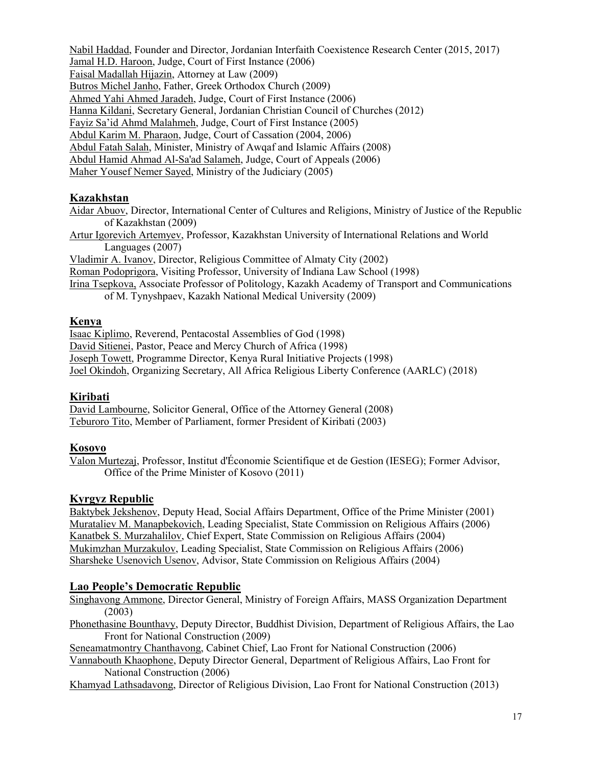Nabil Haddad, Founder and Director, Jordanian Interfaith Coexistence Research Center (2015, 2017) Jamal H.D. Haroon, Judge, Court of First Instance (2006) Faisal Madallah Hijazin, Attorney at Law (2009) Butros Michel Janho, Father, Greek Orthodox Church (2009) Ahmed Yahi Ahmed Jaradeh, Judge, Court of First Instance (2006) Hanna Kildani, Secretary General, Jordanian Christian Council of Churches (2012) Fayiz Sa'id Ahmd Malahmeh, Judge, Court of First Instance (2005) Abdul Karim M. Pharaon, Judge, Court of Cassation (2004, 2006) Abdul Fatah Salah, Minister, Ministry of Awqaf and Islamic Affairs (2008) Abdul Hamid Ahmad Al-Sa'ad Salameh, Judge, Court of Appeals (2006) Maher Yousef Nemer Sayed, Ministry of the Judiciary (2005)

### **Kazakhstan**

Aidar Abuov, Director, International Center of Cultures and Religions, Ministry of Justice of the Republic of Kazakhstan (2009)

Artur Igorevich Artemyev, Professor, Kazakhstan University of International Relations and World Languages (2007)

Vladimir A. Ivanov, Director, Religious Committee of Almaty City (2002)

Roman Podoprigora, Visiting Professor, University of Indiana Law School (1998)

Irina Tsepkova, Associate Professor of Politology, Kazakh Academy of Transport and Communications of M. Tynyshpaev, Kazakh National Medical University (2009)

**Kenya**

Isaac Kiplimo, Reverend, Pentacostal Assemblies of God (1998) David Sitienei, Pastor, Peace and Mercy Church of Africa (1998) Joseph Towett, Programme Director, Kenya Rural Initiative Projects (1998) Joel Okindoh, Organizing Secretary, All Africa Religious Liberty Conference (AARLC) (2018)

#### **Kiribati**

David Lambourne, Solicitor General, Office of the Attorney General (2008) Teburoro Tito, Member of Parliament, former President of Kiribati (2003)

#### **Kosovo**

Valon Murtezaj, Professor, Institut d'Économie Scientifique et de Gestion (IESEG); Former Advisor, Office of the Prime Minister of Kosovo (2011)

### **Kyrgyz Republic**

Baktybek Jekshenov, Deputy Head, Social Affairs Department, Office of the Prime Minister (2001) Murataliev M. Manapbekovich, Leading Specialist, State Commission on Religious Affairs (2006) Kanatbek S. Murzahalilov, Chief Expert, State Commission on Religious Affairs (2004) Mukimzhan Murzakulov, Leading Specialist, State Commission on Religious Affairs (2006) Sharsheke Usenovich Usenov, Advisor, State Commission on Religious Affairs (2004)

### **Lao People's Democratic Republic**

Singhavong Ammone, Director General, Ministry of Foreign Affairs, MASS Organization Department (2003)

Phonethasine Bounthavy, Deputy Director, Buddhist Division, Department of Religious Affairs, the Lao Front for National Construction (2009)

Seneamatmontry Chanthavong, Cabinet Chief, Lao Front for National Construction (2006)

Vannabouth Khaophone, Deputy Director General, Department of Religious Affairs, Lao Front for National Construction (2006)

Khamyad Lathsadavong, Director of Religious Division, Lao Front for National Construction (2013)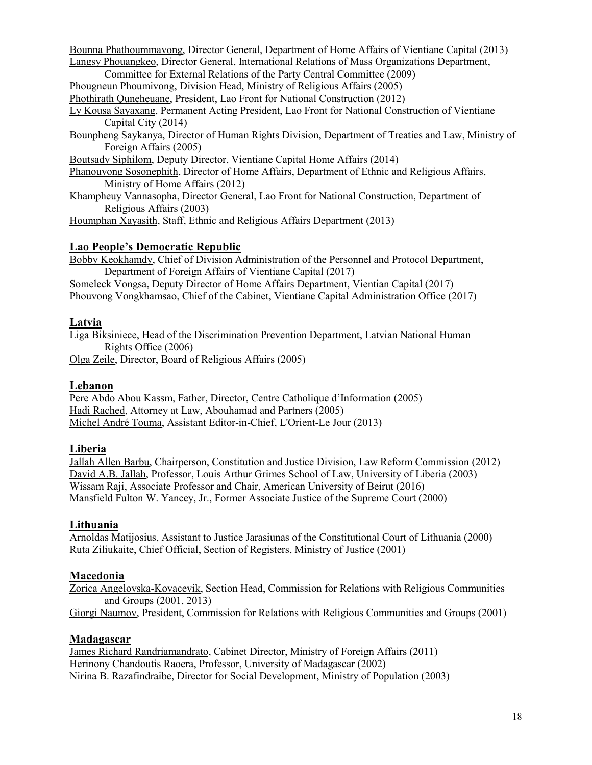Bounna Phathoummavong, Director General, Department of Home Affairs of Vientiane Capital (2013) Langsy Phouangkeo, Director General, International Relations of Mass Organizations Department,

Committee for External Relations of the Party Central Committee (2009)

Phougneun Phoumivong, Division Head, Ministry of Religious Affairs (2005)

Phothirath Quneheuane, President, Lao Front for National Construction (2012)

Ly Kousa Sayaxang, Permanent Acting President, Lao Front for National Construction of Vientiane Capital City (2014)

Bounpheng Saykanya, Director of Human Rights Division, Department of Treaties and Law, Ministry of Foreign Affairs (2005)

Boutsady Siphilom, Deputy Director, Vientiane Capital Home Affairs (2014)

Phanouvong Sosonephith, Director of Home Affairs, Department of Ethnic and Religious Affairs, Ministry of Home Affairs (2012)

Khampheuy Vannasopha, Director General, Lao Front for National Construction, Department of Religious Affairs (2003)

Houmphan Xayasith, Staff, Ethnic and Religious Affairs Department (2013)

#### **Lao People's Democratic Republic**

Bobby Keokhamdy, Chief of Division Administration of the Personnel and Protocol Department, Department of Foreign Affairs of Vientiane Capital (2017)

Someleck Vongsa, Deputy Director of Home Affairs Department, Vientian Capital (2017) Phouvong Vongkhamsao, Chief of the Cabinet, Vientiane Capital Administration Office (2017)

### **Latvia**

Liga Biksiniece, Head of the Discrimination Prevention Department, Latvian National Human Rights Office (2006)

Olga Zeile, Director, Board of Religious Affairs (2005)

#### **Lebanon**

Pere Abdo Abou Kassm, Father, Director, Centre Catholique d'Information (2005) Hadi Rached, Attorney at Law, Abouhamad and Partners (2005) Michel André Touma, Assistant Editor-in-Chief, L'Orient-Le Jour (2013)

#### **Liberia**

Jallah Allen Barbu, Chairperson, Constitution and Justice Division, Law Reform Commission (2012) David A.B. Jallah, Professor, Louis Arthur Grimes School of Law, University of Liberia (2003) Wissam Raji, Associate Professor and Chair, American University of Beirut (2016) Mansfield Fulton W. Yancey, Jr., Former Associate Justice of the Supreme Court (2000)

### **Lithuania**

Arnoldas Matijosius, Assistant to Justice Jarasiunas of the Constitutional Court of Lithuania (2000) Ruta Ziliukaite, Chief Official, Section of Registers, Ministry of Justice (2001)

#### **Macedonia**

Zorica Angelovska-Kovacevik, Section Head, Commission for Relations with Religious Communities and Groups (2001, 2013)

Giorgi Naumov, President, Commission for Relations with Religious Communities and Groups (2001)

#### **Madagascar**

James Richard Randriamandrato, Cabinet Director, Ministry of Foreign Affairs (2011) Herinony Chandoutis Raoera, Professor, University of Madagascar (2002) Nirina B. Razafindraibe, Director for Social Development, Ministry of Population (2003)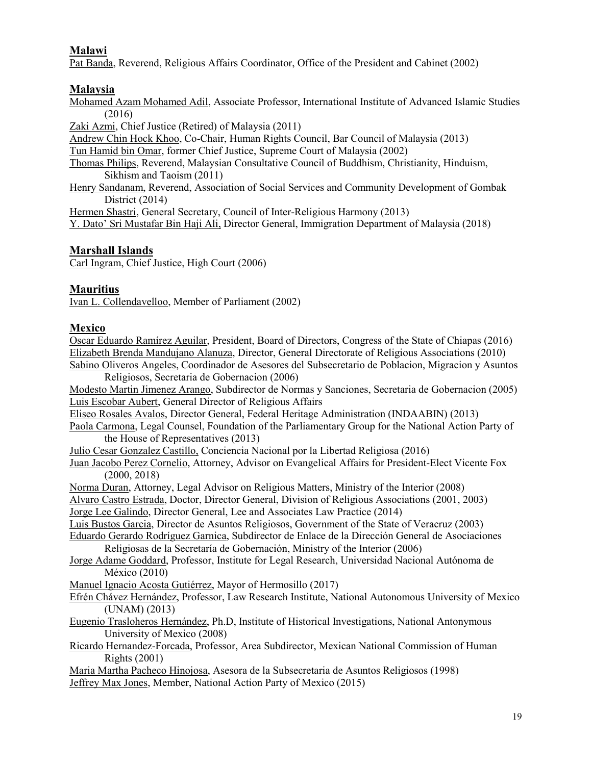# **Malawi**

Pat Banda, Reverend, Religious Affairs Coordinator, Office of the President and Cabinet (2002)

## **Malaysia**

Mohamed Azam Mohamed Adil, Associate Professor, International Institute of Advanced Islamic Studies (2016)

Zaki Azmi, Chief Justice (Retired) of Malaysia (2011)

Andrew Chin Hock Khoo, Co-Chair, Human Rights Council, Bar Council of Malaysia (2013)

Tun Hamid bin Omar, former Chief Justice, Supreme Court of Malaysia (2002)

Thomas Philips, Reverend, Malaysian Consultative Council of Buddhism, Christianity, Hinduism, Sikhism and Taoism (2011)

Henry Sandanam, Reverend, Association of Social Services and Community Development of Gombak District (2014)

Hermen Shastri, General Secretary, Council of Inter-Religious Harmony (2013)

Y. Dato' Sri Mustafar Bin Haji Ali, Director General, Immigration Department of Malaysia (2018)

# **Marshall Islands**

Carl Ingram, Chief Justice, High Court (2006)

### **Mauritius**

Ivan L. Collendavelloo, Member of Parliament (2002)

### **Mexico**

Oscar Eduardo Ramírez Aguilar, President, Board of Directors, Congress of the State of Chiapas (2016) Elizabeth Brenda Mandujano Alanuza, Director, General Directorate of Religious Associations (2010) Sabino Oliveros Angeles, Coordinador de Asesores del Subsecretario de Poblacion, Migracion y Asuntos

Religiosos, Secretaria de Gobernacion (2006) Modesto Martin Jimenez Arango, Subdirector de Normas y Sanciones, Secretaria de Gobernacion (2005) Luis Escobar Aubert, General Director of Religious Affairs Eliseo Rosales Avalos, Director General, Federal Heritage Administration (INDAABIN) (2013) Paola Carmona, Legal Counsel, Foundation of the Parliamentary Group for the National Action Party of the House of Representatives (2013) Julio Cesar Gonzalez Castillo, Conciencia Nacional por la Libertad Religiosa (2016) Juan Jacobo Perez Cornelio, Attorney, Advisor on Evangelical Affairs for President-Elect Vicente Fox (2000, 2018) Norma Duran, Attorney, Legal Advisor on Religious Matters, Ministry of the Interior (2008) Alvaro Castro Estrada, Doctor, Director General, Division of Religious Associations (2001, 2003) Jorge Lee Galindo, Director General, Lee and Associates Law Practice (2014) Luis Bustos Garcia, Director de Asuntos Religiosos, Government of the State of Veracruz (2003) Eduardo Gerardo Rodríguez Garnica, Subdirector de Enlace de la Dirección General de Asociaciones Religiosas de la Secretaría de Gobernación, Ministry of the Interior (2006) Jorge Adame Goddard, Professor, Institute for Legal Research, Universidad Nacional Autónoma de México (2010) Manuel Ignacio Acosta Gutiérrez, Mayor of Hermosillo (2017) Efrén Chávez Hernández, Professor, Law Research Institute, National Autonomous University of Mexico (UNAM) (2013) Eugenio Trasloheros Hernández, Ph.D, Institute of Historical Investigations, National Antonymous University of Mexico (2008) Ricardo Hernandez-Forcada, Professor, Area Subdirector, Mexican National Commission of Human Rights (2001) Maria Martha Pacheco Hinojosa, Asesora de la Subsecretaria de Asuntos Religiosos (1998) Jeffrey Max Jones, Member, National Action Party of Mexico (2015)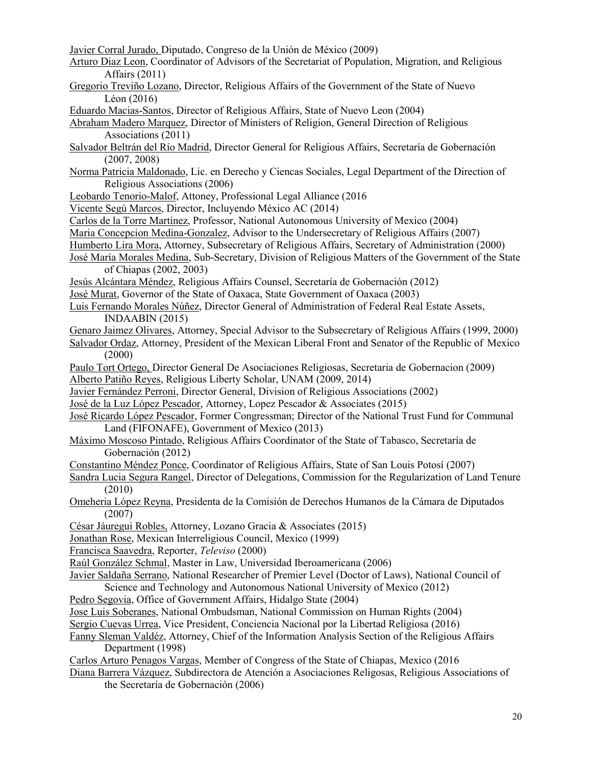Javier Corral Jurado, Diputado, Congreso de la Unión de México (2009)

- Arturo Diaz Leon, Coordinator of Advisors of the Secretariat of Population, Migration, and Religious Affairs (2011)
- Gregorio Treviño Lozano, Director, Religious Affairs of the Government of the State of Nuevo Léon (2016)
- Eduardo Macias-Santos, Director of Religious Affairs, State of Nuevo Leon (2004)

Abraham Madero Marquez, Director of Ministers of Religion, General Direction of Religious Associations (2011)

- Salvador Beltrán del Río Madrid, Director General for Religious Affairs, Secretaría de Gobernación (2007, 2008)
- Norma Patricia Maldonado, Lic. en Derecho y Ciencas Sociales, Legal Department of the Direction of Religious Associations (2006)
- Leobardo Tenorio-Malof, Attoney, Professional Legal Alliance (2016
- Vicente Segú Marcos, Director, Incluyendo México AC (2014)
- Carlos de la Torre Martínez, Professor, National Autonomous University of Mexico (2004)
- Maria Concepcion Medina-Gonzalez, Advisor to the Undersecretary of Religious Affairs (2007)
- Humberto Lira Mora, Attorney, Subsecretary of Religious Affairs, Secretary of Administration (2000)
- José María Morales Medina, Sub-Secretary, Division of Religious Matters of the Government of the State of Chiapas (2002, 2003)
- Jesús Alcántara Méndez, Religious Affairs Counsel, Secretaría de Gobernación (2012)
- José Murat, Governor of the State of Oaxaca, State Government of Oaxaca (2003)
- Luis Fernando Morales Núñez, Director General of Administration of Federal Real Estate Assets, INDAABIN (2015)
- Genaro Jaimez Olivares, Attorney, Special Advisor to the Subsecretary of Religious Affairs (1999, 2000) Salvador Ordaz, Attorney, President of the Mexican Liberal Front and Senator of the Republic of Mexico
- (2000)
- Paulo Tort Ortego, Director General De Asociaciones Religiosas, Secretaria de Gobernacion (2009) Alberto Patiño Reyes, Religious Liberty Scholar, UNAM (2009, 2014)
- Javier Fernández Perroni, Director General, Division of Religious Associations (2002)
- José de la Luz López Pescador, Attorney, Lopez Pescador & Associates (2015)
- José Ricardo López Pescador, Former Congressman; Director of the National Trust Fund for Communal Land (FIFONAFE), Government of Mexico (2013)
- Máximo Moscoso Pintado, Religious Affairs Coordinator of the State of Tabasco, Secretaría de Gobernación (2012)
- Constantino Méndez Ponce, Coordinator of Religious Affairs, State of San Louis Potosí (2007)
- Sandra Lucia Segura Rangel, Director of Delegations, Commission for the Regularization of Land Tenure (2010)
- Omeheria López Reyna, Presidenta de la Comisión de Derechos Humanos de la Cámara de Diputados (2007)
- César Jáuregui Robles, Attorney, Lozano Gracia & Associates (2015)
- Jonathan Rose, Mexican Interreligious Council, Mexico (1999)
- Francisca Saavedra, Reporter, *Televiso* (2000)
- Raúl González Schmal, Master in Law, Universidad Iberoamericana (2006)
- Javier Saldaña Serrano, National Researcher of Premier Level (Doctor of Laws), National Council of Science and Technology and Autonomous National University of Mexico (2012)
- Pedro Segovia, Office of Government Affairs, Hidalgo State (2004)
- Jose Luis Soberanes, National Ombudsman, National Commission on Human Rights (2004)
- Sergio Cuevas Urrea, Vice President, Conciencia Nacional por la Libertad Religiosa (2016)
- Fanny Sleman Valdéz, Attorney, Chief of the Information Analysis Section of the Religious Affairs Department (1998)
- Carlos Arturo Penagos Vargas, Member of Congress of the State of Chiapas, Mexico (2016
- Diana Barrera Vázquez, Subdirectora de Atención a Asociaciones Religosas, Religious Associations of the Secretaría de Gobernación (2006)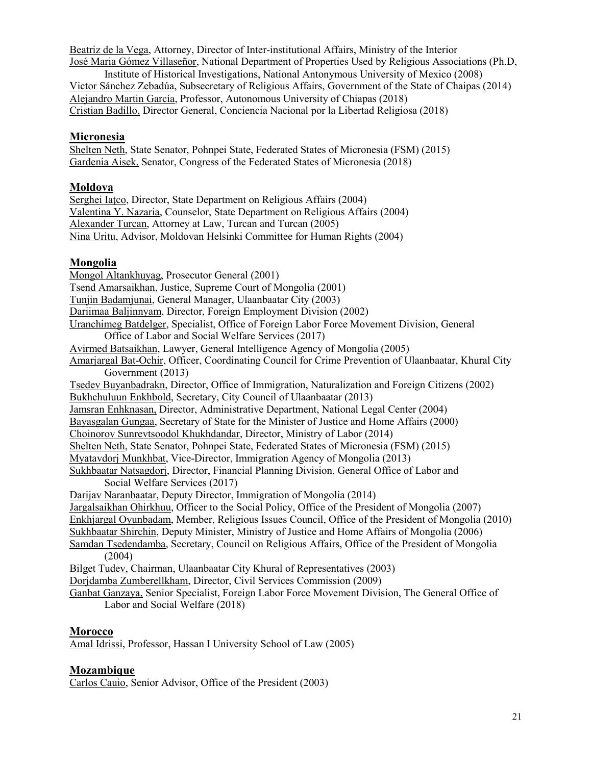Beatriz de la Vega, Attorney, Director of Inter-institutional Affairs, Ministry of the Interior José Maria Gómez Villaseñor, National Department of Properties Used by Religious Associations (Ph.D,

Institute of Historical Investigations, National Antonymous University of Mexico (2008) Victor Sánchez Zebadúa, Subsecretary of Religious Affairs, Government of the State of Chaipas (2014) Alejandro Martin García, Professor, Autonomous University of Chiapas (2018) Cristian Badillo, Director General, Conciencia Nacional por la Libertad Religiosa (2018)

### **Micronesia**

Shelten Neth, State Senator, Pohnpei State, Federated States of Micronesia (FSM) (2015) Gardenia Aisek, Senator, Congress of the Federated States of Micronesia (2018)

#### **Moldova**

Serghei Iatco, Director, State Department on Religious Affairs (2004) Valentina Y. Nazaria, Counselor, State Department on Religious Affairs (2004) Alexander Turcan, Attorney at Law, Turcan and Turcan (2005) Nina Uritu, Advisor, Moldovan Helsinki Committee for Human Rights (2004)

#### **Mongolia**

Mongol Altankhuyag, Prosecutor General (2001) Tsend Amarsaikhan, Justice, Supreme Court of Mongolia (2001) Tunjin Badamjunai, General Manager, Ulaanbaatar City (2003) Dariimaa Baljinnyam, Director, Foreign Employment Division (2002) Uranchimeg Batdelger, Specialist, Office of Foreign Labor Force Movement Division, General Office of Labor and Social Welfare Services (2017) Avirmed Batsaikhan, Lawyer, General Intelligence Agency of Mongolia (2005) Amarjargal Bat-Ochir, Officer, Coordinating Council for Crime Prevention of Ulaanbaatar, Khural City Government (2013) Tsedev Buyanbadrakn, Director, Office of Immigration, Naturalization and Foreign Citizens (2002) Bukhchuluun Enkhbold, Secretary, City Council of Ulaanbaatar (2013) Jamsran Enhknasan, Director, Administrative Department, National Legal Center (2004) Bayasgalan Gungaa, Secretary of State for the Minister of Justice and Home Affairs (2000) Choinorov Sunrevtsoodol Khukhdandar, Director, Ministry of Labor (2014) Shelten Neth, State Senator, Pohnpei State, Federated States of Micronesia (FSM) (2015) Myatavdorj Munkhbat, Vice-Director, Immigration Agency of Mongolia (2013) Sukhbaatar Natsagdorj, Director, Financial Planning Division, General Office of Labor and Social Welfare Services (2017) Darijav Naranbaatar, Deputy Director, Immigration of Mongolia (2014) Jargalsaikhan Ohirkhuu, Officer to the Social Policy, Office of the President of Mongolia (2007) Enkhjargal Oyunbadam, Member, Religious Issues Council, Office of the President of Mongolia (2010) Sukhbaatar Shirchin, Deputy Minister, Ministry of Justice and Home Affairs of Mongolia (2006) Samdan Tsedendamba, Secretary, Council on Religious Affairs, Office of the President of Mongolia (2004) Bilget Tudev, Chairman, Ulaanbaatar City Khural of Representatives (2003) Dorjdamba Zumberellkham, Director, Civil Services Commission (2009) Ganbat Ganzaya, Senior Specialist, Foreign Labor Force Movement Division, The General Office of Labor and Social Welfare (2018)

#### **Morocco**

Amal Idrissi, Professor, Hassan I University School of Law (2005)

#### **Mozambique**

Carlos Cauio, Senior Advisor, Office of the President (2003)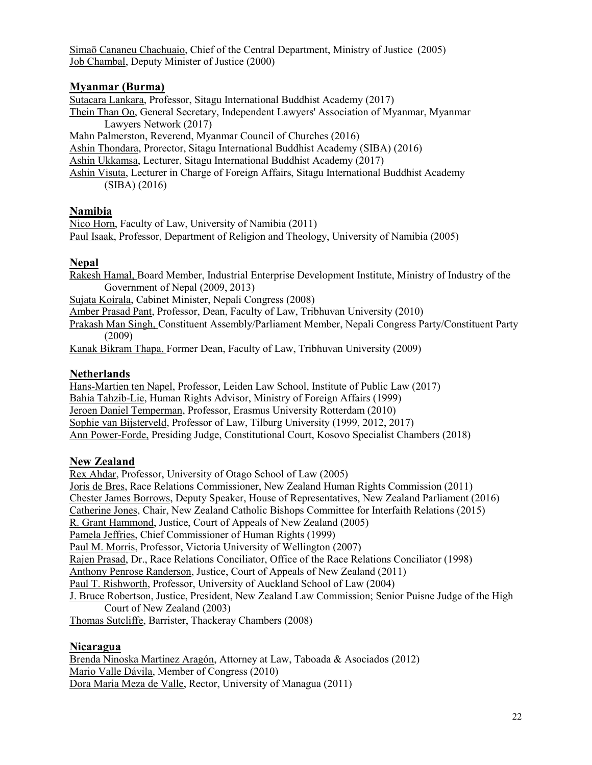Simaō Cananeu Chachuaio, Chief of the Central Department, Ministry of Justice (2005) Job Chambal, Deputy Minister of Justice (2000)

#### **Myanmar (Burma)**

Sutacara Lankara, Professor, Sitagu International Buddhist Academy (2017) Thein Than Oo, General Secretary, Independent Lawyers' Association of Myanmar, Myanmar Lawyers Network (2017) Mahn Palmerston, Reverend, Myanmar Council of Churches (2016) Ashin Thondara, Prorector, Sitagu International Buddhist Academy (SIBA) (2016) Ashin Ukkamsa, Lecturer, Sitagu International Buddhist Academy (2017) Ashin Visuta, Lecturer in Charge of Foreign Affairs, Sitagu International Buddhist Academy (SIBA) (2016)

#### **Namibia**

Nico Horn, Faculty of Law, University of Namibia (2011) Paul Isaak, Professor, Department of Religion and Theology, University of Namibia (2005)

#### **Nepal**

Rakesh Hamal, Board Member, Industrial Enterprise Development Institute, Ministry of Industry of the Government of Nepal (2009, 2013) Sujata Koirala, Cabinet Minister, Nepali Congress (2008)

Amber Prasad Pant, Professor, Dean, Faculty of Law, Tribhuvan University (2010)

Prakash Man Singh, Constituent Assembly/Parliament Member, Nepali Congress Party/Constituent Party (2009)

Kanak Bikram Thapa, Former Dean, Faculty of Law, Tribhuvan University (2009)

### **Netherlands**

Hans-Martien ten Napel, Professor, Leiden Law School, Institute of Public Law (2017) Bahia Tahzib-Lie, Human Rights Advisor, Ministry of Foreign Affairs (1999) Jeroen Daniel Temperman, Professor, Erasmus University Rotterdam (2010) Sophie van Bijsterveld, Professor of Law, Tilburg University (1999, 2012, 2017) Ann Power-Forde, Presiding Judge, Constitutional Court, Kosovo Specialist Chambers (2018)

#### **New Zealand**

Rex Ahdar, Professor, University of Otago School of Law (2005) Joris de Bres, Race Relations Commissioner, New Zealand Human Rights Commission (2011) Chester James Borrows, Deputy Speaker, House of Representatives, New Zealand Parliament (2016) Catherine Jones, Chair, New Zealand Catholic Bishops Committee for Interfaith Relations (2015) R. Grant Hammond, Justice, Court of Appeals of New Zealand (2005) Pamela Jeffries, Chief Commissioner of Human Rights (1999) Paul M. Morris, Professor, Victoria University of Wellington (2007) Rajen Prasad, Dr., Race Relations Conciliator, Office of the Race Relations Conciliator (1998) Anthony Penrose Randerson, Justice, Court of Appeals of New Zealand (2011) Paul T. Rishworth, Professor, University of Auckland School of Law (2004) J. Bruce Robertson, Justice, President, New Zealand Law Commission; Senior Puisne Judge of the High Court of New Zealand (2003)

Thomas Sutcliffe, Barrister, Thackeray Chambers (2008)

#### **Nicaragua**

Brenda Ninoska Martínez Aragón, Attorney at Law, Taboada & Asociados (2012) Mario Valle Dávila, Member of Congress (2010) Dora Maria Meza de Valle, Rector, University of Managua (2011)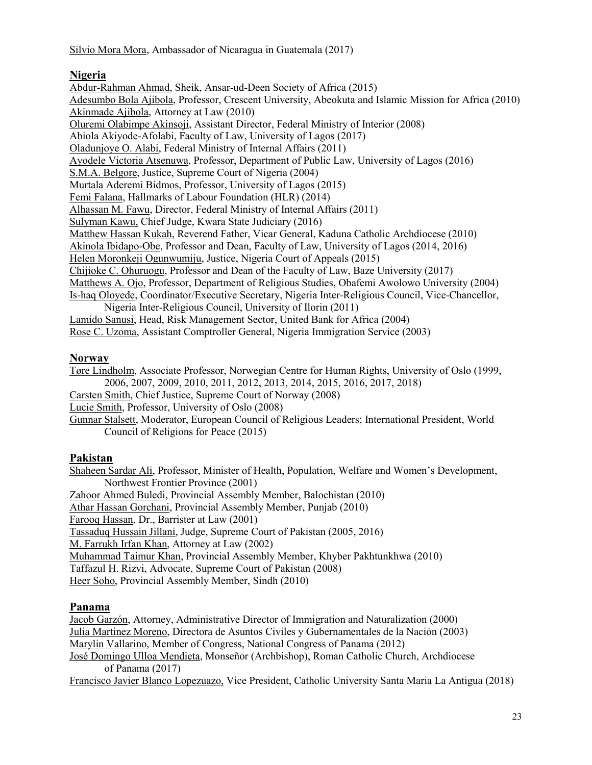Silvio Mora Mora, Ambassador of Nicaragua in Guatemala (2017)

### **Nigeria**

Abdur-Rahman Ahmad, Sheik, Ansar-ud-Deen Society of Africa (2015) Adesumbo Bola Ajibola, Professor, Crescent University, Abeokuta and Islamic Mission for Africa (2010) Akinmade Ajibola, Attorney at Law (2010) Oluremi Olabimpe Akinsoji, Assistant Director, Federal Ministry of Interior (2008) Abiola Akiyode-Afolabi, Faculty of Law, University of Lagos (2017) Oladunjoye O. Alabi, Federal Ministry of Internal Affairs (2011) Ayodele Victoria Atsenuwa, Professor, Department of Public Law, University of Lagos (2016) S.M.A. Belgore, Justice, Supreme Court of Nigeria (2004) Murtala Aderemi Bidmos, Professor, University of Lagos (2015) Femi Falana, Hallmarks of Labour Foundation (HLR) (2014) Alhassan M. Fawu, Director, Federal Ministry of Internal Affairs (2011) Sulyman Kawu, Chief Judge, Kwara State Judiciary (2016) Matthew Hassan Kukah, Reverend Father, Vicar General, Kaduna Catholic Archdiocese (2010) Akinola Ibidapo-Obe, Professor and Dean, Faculty of Law, University of Lagos (2014, 2016) Helen Moronkeji Ogunwumiju, Justice, Nigeria Court of Appeals (2015) Chijioke C. Ohuruogu, Professor and Dean of the Faculty of Law, Baze University (2017) Matthews A. Ojo, Professor, Department of Religious Studies, Obafemi Awolowo University (2004) Is-haq Oloyede, Coordinator/Executive Secretary, Nigeria Inter-Religious Council, Vice-Chancellor, Nigeria Inter-Religious Council, University of Ilorin (2011) Lamido Sanusi, Head, Risk Management Sector, United Bank for Africa (2004) Rose C. Uzoma, Assistant Comptroller General, Nigeria Immigration Service (2003)

### **Norway**

Tøre Lindholm, Associate Professor, Norwegian Centre for Human Rights, University of Oslo (1999, 2006, 2007, 2009, 2010, 2011, 2012, 2013, 2014, 2015, 2016, 2017, 2018) Carsten Smith, Chief Justice, Supreme Court of Norway (2008)

Lucie Smith, Professor, University of Oslo (2008)

Gunnar Stalsett, Moderator, European Council of Religious Leaders; International President, World Council of Religions for Peace (2015)

### **Pakistan**

Shaheen Sardar Ali, Professor, Minister of Health, Population, Welfare and Women's Development, Northwest Frontier Province (2001) Zahoor Ahmed Buledi, Provincial Assembly Member, Balochistan (2010) Athar Hassan Gorchani, Provincial Assembly Member, Punjab (2010) Farooq Hassan, Dr., Barrister at Law (2001) Tassaduq Hussain Jillani, Judge, Supreme Court of Pakistan (2005, 2016) M. Farrukh Irfan Khan, Attorney at Law (2002) Muhammad Taimur Khan, Provincial Assembly Member, Khyber Pakhtunkhwa (2010) Taffazul H. Rizvi, Advocate, Supreme Court of Pakistan (2008) Heer Soho, Provincial Assembly Member, Sindh (2010)

### **Panama**

Jacob Garzón, Attorney, Administrative Director of Immigration and Naturalization (2000) Julia Martinez Moreno, Directora de Asuntos Civiles y Gubernamentales de la Nación (2003) Marylin Vallarino, Member of Congress, National Congress of Panama (2012) José Domingo Ulloa Mendieta, Monseñor (Archbishop), Roman Catholic Church, Archdiocese of Panama (2017)

Francisco Javier Blanco Lopezuazo, Vice President, Catholic University Santa Maria La Antigua (2018)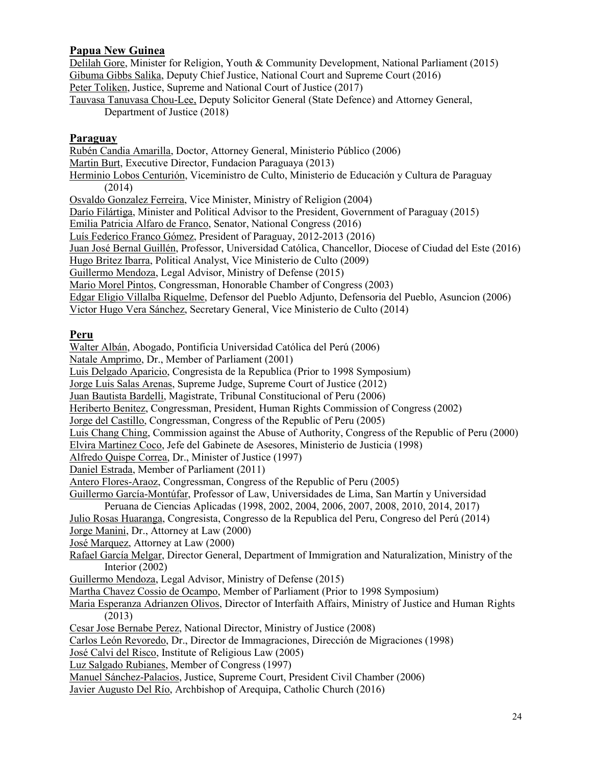### **Papua New Guinea**

Delilah Gore, Minister for Religion, Youth & Community Development, National Parliament (2015) Gibuma Gibbs Salika, Deputy Chief Justice, National Court and Supreme Court (2016) Peter Toliken, Justice, Supreme and National Court of Justice (2017) Tauvasa Tanuvasa Chou-Lee, Deputy Solicitor General (State Defence) and Attorney General, Department of Justice (2018)

#### **Paraguay**

Rubén Candia Amarilla, Doctor, Attorney General, Ministerio Público (2006) Martin Burt, Executive Director, Fundacion Paraguaya (2013) Herminio Lobos Centurión, Viceministro de Culto, Ministerio de Educación y Cultura de Paraguay (2014) Osvaldo Gonzalez Ferreira, Vice Minister, Ministry of Religion (2004) Darío Filártiga, Minister and Political Advisor to the President, Government of Paraguay (2015) Emilia Patricia Alfaro de Franco, Senator, National Congress (2016) Luís Federico Franco Gómez, President of Paraguay, 2012-2013 (2016) Juan José Bernal Guillén, Professor, Universidad Católica, Chancellor, Diocese of Ciudad del Este (2016) Hugo Britez Ibarra, Political Analyst, Vice Ministerio de Culto (2009) Guillermo Mendoza, Legal Advisor, Ministry of Defense (2015) Mario Morel Pintos, Congressman, Honorable Chamber of Congress (2003) Edgar Eligio Villalba Riquelme, Defensor del Pueblo Adjunto, Defensoria del Pueblo, Asuncion (2006) Victor Hugo Vera Sánchez, Secretary General, Vice Ministerio de Culto (2014)

### **Peru**

Walter Albán, Abogado, Pontificia Universidad Católica del Perú (2006)

Natale Amprimo, Dr., Member of Parliament (2001)

Luis Delgado Aparicio, Congresista de la Republica (Prior to 1998 Symposium)

Jorge Luis Salas Arenas, Supreme Judge, Supreme Court of Justice (2012)

Juan Bautista Bardelli, Magistrate, Tribunal Constitucional of Peru (2006)

Heriberto Benitez, Congressman, President, Human Rights Commission of Congress (2002)

Jorge del Castillo, Congressman, Congress of the Republic of Peru (2005)

Luis Chang Ching, Commission against the Abuse of Authority, Congress of the Republic of Peru (2000)

Elvira Martinez Coco, Jefe del Gabinete de Asesores, Ministerio de Justicia (1998)

Alfredo Quispe Correa, Dr., Minister of Justice (1997)

Daniel Estrada, Member of Parliament (2011)

Antero Flores-Araoz, Congressman, Congress of the Republic of Peru (2005)

- Guillermo García-Montúfar, Professor of Law, Universidades de Lima, San Martín y Universidad Peruana de Ciencias Aplicadas (1998, 2002, 2004, 2006, 2007, 2008, 2010, 2014, 2017)
- Julio Rosas Huaranga, Congresista, Congresso de la Republica del Peru, Congreso del Perú (2014)

Jorge Manini, Dr., Attorney at Law (2000)

José Marquez, Attorney at Law (2000)

- Rafael García Melgar, Director General, Department of Immigration and Naturalization, Ministry of the Interior (2002)
- Guillermo Mendoza, Legal Advisor, Ministry of Defense (2015)

Martha Chavez Cossio de Ocampo, Member of Parliament (Prior to 1998 Symposium)

Maria Esperanza Adrianzen Olivos, Director of Interfaith Affairs, Ministry of Justice and Human Rights (2013)

Cesar Jose Bernabe Perez, National Director, Ministry of Justice (2008)

Carlos León Revoredo, Dr., Director de Immagraciones, Dirección de Migraciones (1998)

José Calvi del Risco, Institute of Religious Law (2005)

Luz Salgado Rubianes, Member of Congress (1997)

Manuel Sánchez-Palacios, Justice, Supreme Court, President Civil Chamber (2006)

Javier Augusto Del Río, Archbishop of Arequipa, Catholic Church (2016)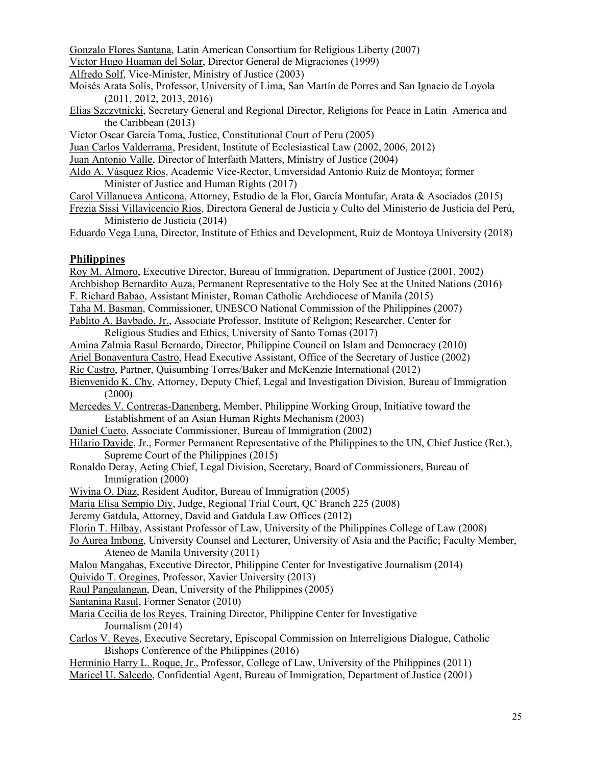Gonzalo Flores Santana, Latin American Consortium for Religious Liberty (2007)

Victor Hugo Huaman del Solar, Director General de Migraciones (1999)

Alfredo Solf, Vice-Minister, Ministry of Justice (2003)

- Moisés Arata Solís, Professor, University of Lima, San Martín de Porres and San Ignacio de Loyola (2011, 2012, 2013, 2016)
- Elias Szczytnicki, Secretary General and Regional Director, Religions for Peace in Latin America and the Caribbean (2013)

Victor Oscar Garcia Toma, Justice, Constitutional Court of Peru (2005)

Juan Carlos Valderrama, President, Institute of Ecclesiastical Law (2002, 2006, 2012)

Juan Antonio Valle, Director of Interfaith Matters, Ministry of Justice (2004)

- Aldo A. Vásquez Ríos, Academic Vice-Rector, Universidad Antonio Ruiz de Montoya; former Minister of Justice and Human Rights (2017)
- Carol Villanueva Anticona, Attorney, Estudio de la Flor, García Montufar, Arata & Asociados (2015) Frezia Sissi Villavicencio Rios, Directora General de Justicia y Culto del Ministerio de Justicia del Perú,

Ministerio de Justicia (2014)

Eduardo Vega Luna, Director, Institute of Ethics and Development, Ruiz de Montoya University (2018)

### **Philippines**

Roy M. Almoro, Executive Director, Bureau of Immigration, Department of Justice (2001, 2002) Archbishop Bernardito Auza, Permanent Representative to the Holy See at the United Nations (2016) F. Richard Babao, Assistant Minister, Roman Catholic Archdiocese of Manila (2015) Taha M. Basman, Commissioner, UNESCO National Commission of the Philippines (2007) Pablito A. Baybado, Jr., Associate Professor, Institute of Religion; Researcher, Center for Religious Studies and Ethics, University of Santo Tomas (2017) Amina Zalmia Rasul Bernardo, Director, Philippine Council on Islam and Democracy (2010) Ariel Bonaventura Castro, Head Executive Assistant, Office of the Secretary of Justice (2002) Ric Castro, Partner, Quisumbing Torres/Baker and McKenzie International (2012) Bienvenido K. Chy, Attorney, Deputy Chief, Legal and Investigation Division, Bureau of Immigration (2000) Mercedes V. Contreras-Danenberg, Member, Philippine Working Group, Initiative toward the Establishment of an Asian Human Rights Mechanism (2003) Daniel Cueto, Associate Commissioner, Bureau of Immigration (2002) Hilario Davide, Jr., Former Permanent Representative of the Philippines to the UN, Chief Justice (Ret.),

Supreme Court of the Philippines (2015)

Ronaldo Deray, Acting Chief, Legal Division, Secretary, Board of Commissioners, Bureau of Immigration (2000)

Wivina O. Diaz, Resident Auditor, Bureau of Immigration (2005)

Maria Elisa Sempio Diy, Judge, Regional Trial Court, QC Branch 225 (2008)

Jeremy Gatdula, Attorney, David and Gatdula Law Offices (2012)

Florin T. Hilbay, Assistant Professor of Law, University of the Philippines College of Law (2008)

Jo Aurea Imbong, University Counsel and Lecturer, University of Asia and the Pacific; Faculty Member, Ateneo de Manila University (2011)

Malou Mangahas, Executive Director, Philippine Center for Investigative Journalism (2014)

Quivido T. Oregines, Professor, Xavier University (2013)

- Raul Pangalangan, Dean, University of the Philippines (2005)
- Santanina Rasul, Former Senator (2010)
- Maria Cecilia de los Reyes, Training Director, Philippine Center for Investigative Journalism (2014)
- Carlos V. Reyes, Executive Secretary, Episcopal Commission on Interreligious Dialogue, Catholic Bishops Conference of the Philippines (2016)

Herminio Harry L. Roque, Jr., Professor, College of Law, University of the Philippines (2011) Maricel U. Salcedo, Confidential Agent, Bureau of Immigration, Department of Justice (2001)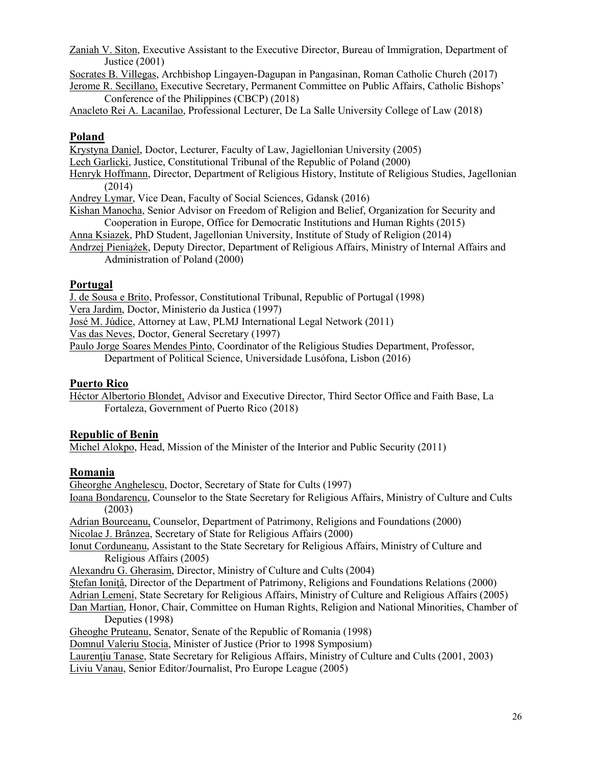Zaniah V. Siton, Executive Assistant to the Executive Director, Bureau of Immigration, Department of Justice (2001)

Socrates B. Villegas, Archbishop Lingayen-Dagupan in Pangasinan, Roman Catholic Church (2017)

Jerome R. Secillano, Executive Secretary, Permanent Committee on Public Affairs, Catholic Bishops' Conference of the Philippines (CBCP) (2018)

Anacleto Rei A. Lacanilao, Professional Lecturer, De La Salle University College of Law (2018)

#### **Poland**

Krystyna Daniel, Doctor, Lecturer, Faculty of Law, Jagiellonian University (2005)

Lech Garlicki, Justice, Constitutional Tribunal of the Republic of Poland (2000)

Henryk Hoffmann, Director, Department of Religious History, Institute of Religious Studies, Jagellonian (2014)

Andrey Lymar, Vice Dean, Faculty of Social Sciences, Gdansk (2016)

Kishan Manocha, Senior Advisor on Freedom of Religion and Belief, Organization for Security and Cooperation in Europe, Office for Democratic Institutions and Human Rights (2015)

- Anna Ksiazek, PhD Student, Jagellonian University, Institute of Study of Religion (2014)
- Andrzej Pieniążek, Deputy Director, Department of Religious Affairs, Ministry of Internal Affairs and Administration of Poland (2000)

#### **Portugal**

J. de Sousa e Brito, Professor, Constitutional Tribunal, Republic of Portugal (1998)

Vera Jardim, Doctor, Ministerio da Justica (1997)

José M. Júdice, Attorney at Law, PLMJ International Legal Network (2011)

Vas das Neves, Doctor, General Secretary (1997)

Paulo Jorge Soares Mendes Pinto, Coordinator of the Religious Studies Department, Professor,

Department of Political Science, Universidade Lusófona, Lisbon (2016)

#### **Puerto Rico**

Héctor Albertorio Blondet, Advisor and Executive Director, Third Sector Office and Faith Base, La Fortaleza, Government of Puerto Rico (2018)

#### **Republic of Benin**

Michel Alokpo, Head, Mission of the Minister of the Interior and Public Security (2011)

### **Romania**

Gheorghe Anghelescu, Doctor, Secretary of State for Cults (1997)

Ioana Bondarencu, Counselor to the State Secretary for Religious Affairs, Ministry of Culture and Cults (2003)

Adrian Bourceanu, Counselor, Department of Patrimony, Religions and Foundations (2000) Nicolae J. Brânzea, Secretary of State for Religious Affairs (2000)

Ionut Corduneanu, Assistant to the State Secretary for Religious Affairs, Ministry of Culture and Religious Affairs (2005)

Alexandru G. Gherasim, Director, Ministry of Culture and Cults (2004)

Stefan Ionitâ, Director of the Department of Patrimony, Religions and Foundations Relations (2000)

Adrian Lemeni, State Secretary for Religious Affairs, Ministry of Culture and Religious Affairs (2005)

Dan Martian, Honor, Chair, Committee on Human Rights, Religion and National Minorities, Chamber of Deputies (1998)

Gheoghe Pruteanu, Senator, Senate of the Republic of Romania (1998)

Domnul Valeriu Stocia, Minister of Justice (Prior to 1998 Symposium)

Laurențiu Tanase, State Secretary for Religious Affairs, Ministry of Culture and Cults (2001, 2003)

Liviu Vanau, Senior Editor/Journalist, Pro Europe League (2005)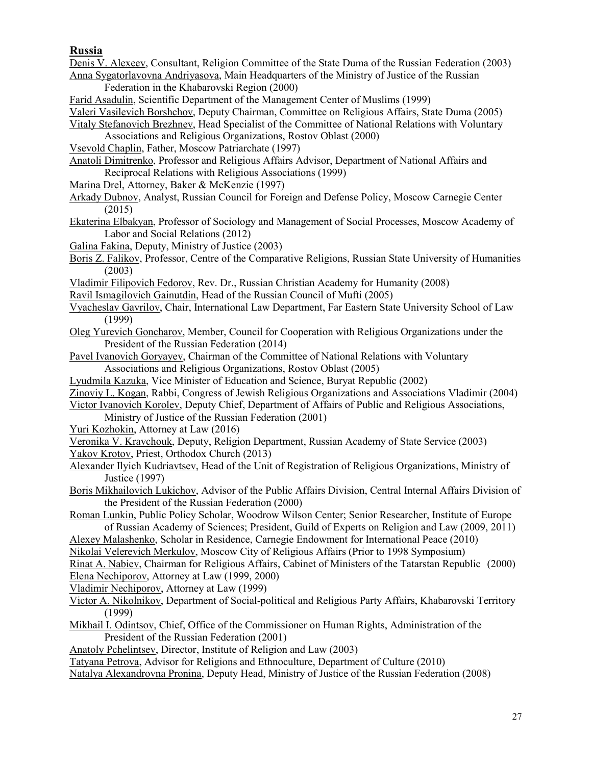#### **Russia**

Denis V. Alexeev, Consultant, Religion Committee of the State Duma of the Russian Federation (2003) Anna Sygatorlavovna Andriyasova, Main Headquarters of the Ministry of Justice of the Russian

- Federation in the Khabarovski Region (2000)
- Farid Asadulin, Scientific Department of the Management Center of Muslims (1999)
- Valeri Vasilevich Borshchov, Deputy Chairman, Committee on Religious Affairs, State Duma (2005)
- Vitaly Stefanovich Brezhnev, Head Specialist of the Committee of National Relations with Voluntary
	- Associations and Religious Organizations, Rostov Oblast (2000)
- Vsevold Chaplin, Father, Moscow Patriarchate (1997)
- Anatoli Dimitrenko, Professor and Religious Affairs Advisor, Department of National Affairs and Reciprocal Relations with Religious Associations (1999)
- Marina Drel, Attorney, Baker & McKenzie (1997)
- Arkady Dubnov, Analyst, Russian Council for Foreign and Defense Policy, Moscow Carnegie Center (2015)
- Ekaterina Elbakyan, Professor of Sociology and Management of Social Processes, Moscow Academy of Labor and Social Relations (2012)
- Galina Fakina, Deputy, Ministry of Justice (2003)
- Boris Z. Falikov, Professor, Centre of the Comparative Religions, Russian State University of Humanities (2003)
- Vladimir Filipovich Fedorov, Rev. Dr., Russian Christian Academy for Humanity (2008)
- Ravil Ismagilovich Gainutdin, Head of the Russian Council of Mufti (2005)
- Vyacheslav Gavrilov, Chair, International Law Department, Far Eastern State University School of Law (1999)
- Oleg Yurevich Goncharov, Member, Council for Cooperation with Religious Organizations under the President of the Russian Federation (2014)
- Pavel Ivanovich Goryayev, Chairman of the Committee of National Relations with Voluntary Associations and Religious Organizations, Rostov Oblast (2005)
- Lyudmila Kazuka, Vice Minister of Education and Science, Buryat Republic (2002)
- Zinoviy L. Kogan, Rabbi, Congress of Jewish Religious Organizations and Associations Vladimir (2004)
- Victor Ivanovich Korolev, Deputy Chief, Department of Affairs of Public and Religious Associations,
	- Ministry of Justice of the Russian Federation (2001)
- Yuri Kozhokin, Attorney at Law (2016)
- Veronika V. Kravchouk, Deputy, Religion Department, Russian Academy of State Service (2003)
- Yakov Krotov, Priest, Orthodox Church (2013)
- Alexander Ilyich Kudriavtsev, Head of the Unit of Registration of Religious Organizations, Ministry of Justice (1997)
- Boris Mikhailovich Lukichov, Advisor of the Public Affairs Division, Central Internal Affairs Division of the President of the Russian Federation (2000)
- Roman Lunkin, Public Policy Scholar, Woodrow Wilson Center; Senior Researcher, Institute of Europe of Russian Academy of Sciences; President, Guild of Experts on Religion and Law (2009, 2011)
- Alexey Malashenko, Scholar in Residence, Carnegie Endowment for International Peace (2010)
- Nikolai Velerevich Merkulov, Moscow City of Religious Affairs (Prior to 1998 Symposium)
- Rinat A. Nabiev, Chairman for Religious Affairs, Cabinet of Ministers of the Tatarstan Republic (2000) Elena Nechiporov, Attorney at Law (1999, 2000)
- Vladimir Nechiporov, Attorney at Law (1999)
- Victor A. Nikolnikov, Department of Social-political and Religious Party Affairs, Khabarovski Territory (1999)
- Mikhail I. Odintsov, Chief, Office of the Commissioner on Human Rights, Administration of the President of the Russian Federation (2001)
- Anatoly Pchelintsev, Director, Institute of Religion and Law (2003)

Tatyana Petrova, Advisor for Religions and Ethnoculture, Department of Culture (2010)

Natalya Alexandrovna Pronina, Deputy Head, Ministry of Justice of the Russian Federation (2008)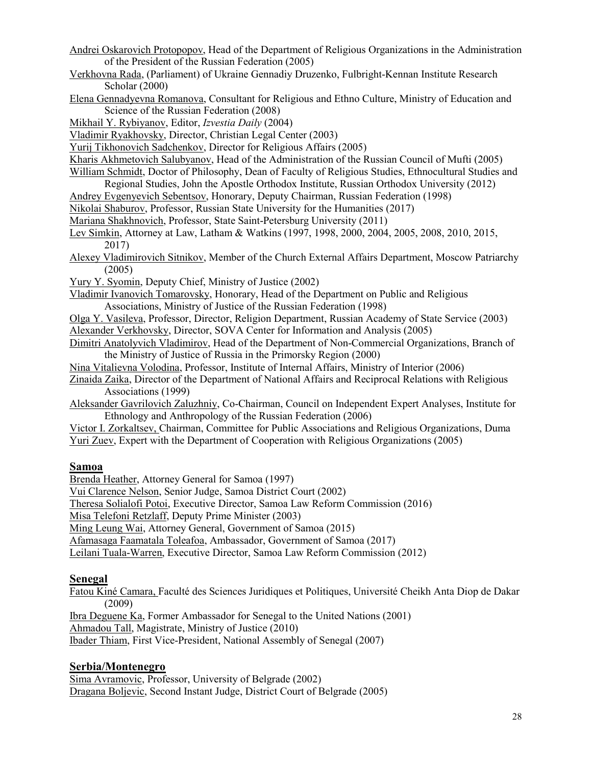- Andrei Oskarovich Protopopov, Head of the Department of Religious Organizations in the Administration of the President of the Russian Federation (2005)
- Verkhovna Rada, (Parliament) of Ukraine Gennadiy Druzenko, Fulbright-Kennan Institute Research Scholar (2000)
- Elena Gennadyevna Romanova, Consultant for Religious and Ethno Culture, Ministry of Education and Science of the Russian Federation (2008)
- Mikhail Y. Rybiyanov, Editor, *Izvestia Daily* (2004)

Vladimir Ryakhovsky, Director, Christian Legal Center (2003)

Yurij Tikhonovich Sadchenkov, Director for Religious Affairs (2005)

Kharis Akhmetovich Salubyanov, Head of the Administration of the Russian Council of Mufti (2005)

William Schmidt, Doctor of Philosophy, Dean of Faculty of Religious Studies, Ethnocultural Studies and Regional Studies, John the Apostle Orthodox Institute, Russian Orthodox University (2012)

- Andrey Evgenyevich Sebentsov, Honorary, Deputy Chairman, Russian Federation (1998)
- Nikolai Shaburov, Professor, Russian State University for the Humanities (2017)
- Mariana Shakhnovich, Professor, State Saint-Petersburg University (2011)
- Lev Simkin, Attorney at Law, Latham & Watkins (1997, 1998, 2000, 2004, 2005, 2008, 2010, 2015, 2017)
- Alexey Vladimirovich Sitnikov, Member of the Church External Affairs Department, Moscow Patriarchy (2005)
- Yury Y. Syomin, Deputy Chief, Ministry of Justice (2002)
- Vladimir Ivanovich Tomarovsky, Honorary, Head of the Department on Public and Religious Associations, Ministry of Justice of the Russian Federation (1998)

Olga Y. Vasileva, Professor, Director, Religion Department, Russian Academy of State Service (2003) Alexander Verkhovsky, Director, SOVA Center for Information and Analysis (2005)

Dimitri Anatolyvich Vladimirov, Head of the Department of Non-Commercial Organizations, Branch of the Ministry of Justice of Russia in the Primorsky Region (2000)

Nina Vitalievna Volodina, Professor, Institute of Internal Affairs, Ministry of Interior (2006)

- Zinaida Zaika, Director of the Department of National Affairs and Reciprocal Relations with Religious Associations (1999)
- Aleksander Gavrilovich Zaluzhniy, Co-Chairman, Council on Independent Expert Analyses, Institute for Ethnology and Anthropology of the Russian Federation (2006)
- Victor I. Zorkaltsev, Chairman, Committee for Public Associations and Religious Organizations, Duma Yuri Zuev, Expert with the Department of Cooperation with Religious Organizations (2005)

#### **Samoa**

Brenda Heather, Attorney General for Samoa (1997)

Vui Clarence Nelson, Senior Judge, Samoa District Court (2002)

Theresa Solialofi Potoi, Executive Director, Samoa Law Reform Commission (2016)

Misa Telefoni Retzlaff, Deputy Prime Minister (2003)

Ming Leung Wai, Attorney General, Government of Samoa (2015)

Afamasaga Faamatala Toleafoa, Ambassador, Government of Samoa (2017)

Leilani Tuala-Warren, Executive Director, Samoa Law Reform Commission (2012)

#### **Senegal**

Fatou Kiné Camara, Faculté des Sciences Juridiques et Politiques, Université Cheikh Anta Diop de Dakar (2009)

Ibra Deguene Ka, Former Ambassador for Senegal to the United Nations (2001)

Ahmadou Tall, Magistrate, Ministry of Justice (2010)

Ibader Thiam, First Vice-President, National Assembly of Senegal (2007)

### **Serbia/Montenegro**

Sima Avramovic, Professor, University of Belgrade (2002) Dragana Boljevic, Second Instant Judge, District Court of Belgrade (2005)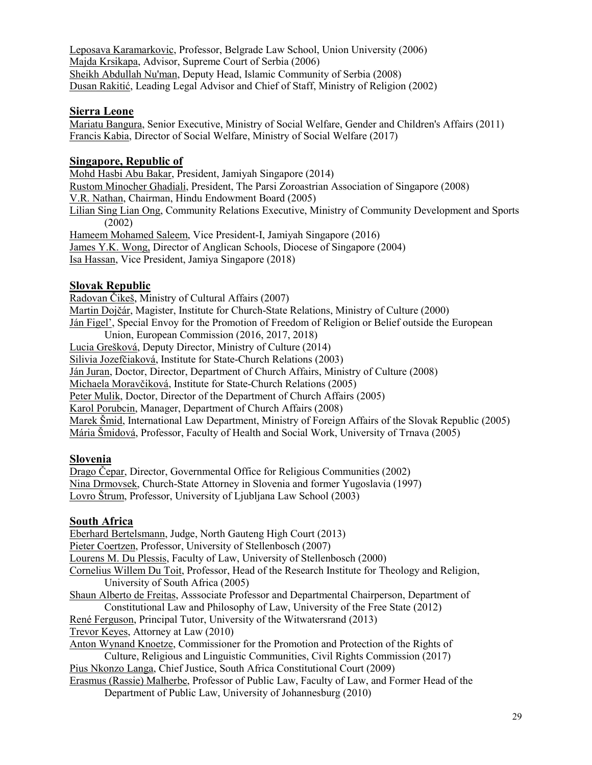Leposava Karamarkovic, Professor, Belgrade Law School, Union University (2006) Majda Krsikapa, Advisor, Supreme Court of Serbia (2006) Sheikh Abdullah Nu'man, Deputy Head, Islamic Community of Serbia (2008) Dusan Rakitić, Leading Legal Advisor and Chief of Staff, Ministry of Religion (2002)

#### **Sierra Leone**

Mariatu Bangura, Senior Executive, Ministry of Social Welfare, Gender and Children's Affairs (2011) Francis Kabia, Director of Social Welfare, Ministry of Social Welfare (2017)

#### **Singapore, Republic of**

Mohd Hasbi Abu Bakar, President, Jamiyah Singapore (2014) Rustom Minocher Ghadiali, President, The Parsi Zoroastrian Association of Singapore (2008) V.R. Nathan, Chairman, Hindu Endowment Board (2005) Lilian Sing Lian Ong, Community Relations Executive, Ministry of Community Development and Sports (2002) Hameem Mohamed Saleem, Vice President-I, Jamiyah Singapore (2016) James Y.K. Wong, Director of Anglican Schools, Diocese of Singapore (2004) Isa Hassan, Vice President, Jamiya Singapore (2018)

#### **Slovak Republic**

Radovan Čikeš, Ministry of Cultural Affairs (2007) Martin Dojčár, Magister, Institute for Church-State Relations, Ministry of Culture (2000) Ján Figel', Special Envoy for the Promotion of Freedom of Religion or Belief outside the European Union, European Commission (2016, 2017, 2018) Lucia Grešková, Deputy Director, Ministry of Culture (2014) Silivia Jozefčiaková, Institute for State-Church Relations (2003) Ján Juran, Doctor, Director, Department of Church Affairs, Ministry of Culture (2008) Michaela Moravčiková, Institute for State-Church Relations (2005) Peter Mulik, Doctor, Director of the Department of Church Affairs (2005) Karol Porubcin, Manager, Department of Church Affairs (2008) Marek Šmid, International Law Department, Ministry of Foreign Affairs of the Slovak Republic (2005) Mária Šmidová, Professor, Faculty of Health and Social Work, University of Trnava (2005)

#### **Slovenia**

Drago Čepar, Director, Governmental Office for Religious Communities (2002) Nina Drmovsek, Church-State Attorney in Slovenia and former Yugoslavia (1997) Lovro Štrum, Professor, University of Ljubljana Law School (2003)

#### **South Africa**

Eberhard Bertelsmann, Judge, North Gauteng High Court (2013) Pieter Coertzen, Professor, University of Stellenbosch (2007) Lourens M. Du Plessis, Faculty of Law, University of Stellenbosch (2000) Cornelius Willem Du Toit, Professor, Head of the Research Institute for Theology and Religion, University of South Africa (2005) Shaun Alberto de Freitas, Asssociate Professor and Departmental Chairperson, Department of Constitutional Law and Philosophy of Law, University of the Free State (2012) René Ferguson, Principal Tutor, University of the Witwatersrand (2013) Trevor Keyes, Attorney at Law (2010) Anton Wynand Knoetze, Commissioner for the Promotion and Protection of the Rights of Culture, Religious and Linguistic Communities, Civil Rights Commission (2017) Pius Nkonzo Langa, Chief Justice, South Africa Constitutional Court (2009) Erasmus (Rassie) Malherbe, Professor of Public Law, Faculty of Law, and Former Head of the Department of Public Law, University of Johannesburg (2010)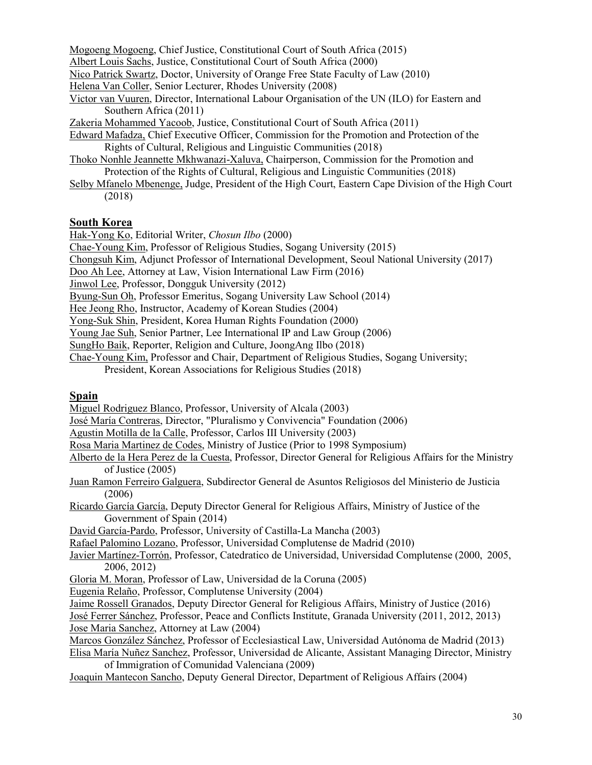Mogoeng Mogoeng, Chief Justice, Constitutional Court of South Africa (2015) Albert Louis Sachs, Justice, Constitutional Court of South Africa (2000) Nico Patrick Swartz, Doctor, University of Orange Free State Faculty of Law (2010) Helena Van Coller, Senior Lecturer, Rhodes University (2008) Victor van Vuuren, Director, International Labour Organisation of the UN (ILO) for Eastern and Southern Africa (2011)

Zakeria Mohammed Yacoob, Justice, Constitutional Court of South Africa (2011)

- Edward Mafadza, Chief Executive Officer, Commission for the Promotion and Protection of the Rights of Cultural, Religious and Linguistic Communities (2018)
- Thoko Nonhle Jeannette Mkhwanazi-Xaluva, Chairperson, Commission for the Promotion and Protection of the Rights of Cultural, Religious and Linguistic Communities (2018)
- Selby Mfanelo Mbenenge, Judge, President of the High Court, Eastern Cape Division of the High Court (2018)

#### **South Korea**

Hak-Yong Ko, Editorial Writer, *Chosun Ilbo* (2000)

Chae-Young Kim, Professor of Religious Studies, Sogang University (2015)

Chongsuh Kim, Adjunct Professor of International Development, Seoul National University (2017)

Doo Ah Lee, Attorney at Law, Vision International Law Firm (2016)

Jinwol Lee, Professor, Dongguk University (2012)

Byung-Sun Oh, Professor Emeritus, Sogang University Law School (2014)

Hee Jeong Rho, Instructor, Academy of Korean Studies (2004)

Yong-Suk Shin, President, Korea Human Rights Foundation (2000)

Young Jae Suh, Senior Partner, Lee International IP and Law Group (2006)

SungHo Baik, Reporter, Religion and Culture, JoongAng Ilbo (2018)

Chae-Young Kim, Professor and Chair, Department of Religious Studies, Sogang University;

President, Korean Associations for Religious Studies (2018)

#### **Spain**

Miguel Rodriguez Blanco, Professor, University of Alcala (2003)

José María Contreras, Director, "Pluralismo y Convivencia" Foundation (2006)

Agustin Motilla de la Calle, Professor, Carlos III University (2003)

- Rosa Maria Martinez de Codes, Ministry of Justice (Prior to 1998 Symposium)
- Alberto de la Hera Perez de la Cuesta, Professor, Director General for Religious Affairs for the Ministry of Justice (2005)
- Juan Ramon Ferreiro Galguera, Subdirector General de Asuntos Religiosos del Ministerio de Justicia (2006)

Ricardo García García, Deputy Director General for Religious Affairs, Ministry of Justice of the Government of Spain (2014)

David García-Pardo, Professor, University of Castilla-La Mancha (2003)

Rafael Palomino Lozano, Professor, Universidad Complutense de Madrid (2010)

Javier Martínez-Torrón, Professor, Catedratico de Universidad, Universidad Complutense (2000, 2005, 2006, 2012)

Gloria M. Moran, Professor of Law, Universidad de la Coruna (2005)

Eugenia Relaño, Professor, Complutense University (2004)

Jaime Rossell Granados, Deputy Director General for Religious Affairs, Ministry of Justice (2016)

José Ferrer Sánchez, Professor, Peace and Conflicts Institute, Granada University (2011, 2012, 2013) Jose Maria Sanchez, Attorney at Law (2004)

Marcos González Sánchez, Professor of Ecclesiastical Law, Universidad Autónoma de Madrid (2013)

Elisa María Nuñez Sanchez, Professor, Universidad de Alicante, Assistant Managing Director, Ministry of Immigration of Comunidad Valenciana (2009)

Joaquin Mantecon Sancho, Deputy General Director, Department of Religious Affairs (2004)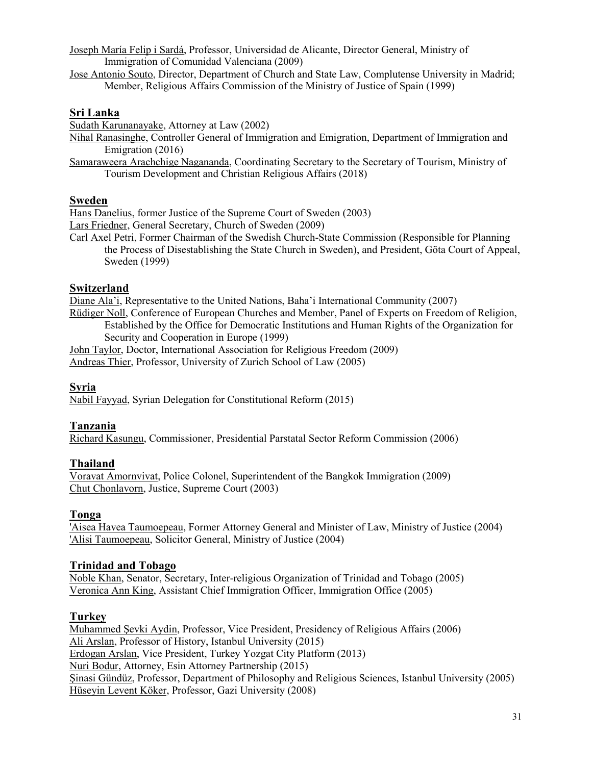Joseph María Felip i Sardá, Professor, Universidad de Alicante, Director General, Ministry of Immigration of Comunidad Valenciana (2009)

Jose Antonio Souto, Director, Department of Church and State Law, Complutense University in Madrid; Member, Religious Affairs Commission of the Ministry of Justice of Spain (1999)

#### **Sri Lanka**

Sudath Karunanayake, Attorney at Law (2002)

Nihal Ranasinghe, Controller General of Immigration and Emigration, Department of Immigration and Emigration (2016)

Samaraweera Arachchige Nagananda, Coordinating Secretary to the Secretary of Tourism, Ministry of Tourism Development and Christian Religious Affairs (2018)

### **Sweden**

Hans Danelius, former Justice of the Supreme Court of Sweden (2003)

Lars Friedner, General Secretary, Church of Sweden (2009)

Carl Axel Petri, Former Chairman of the Swedish Church-State Commission (Responsible for Planning the Process of Disestablishing the State Church in Sweden), and President, Göta Court of Appeal, Sweden (1999)

### **Switzerland**

Diane Ala'i, Representative to the United Nations, Baha'i International Community (2007) Rüdiger Noll, Conference of European Churches and Member, Panel of Experts on Freedom of Religion, Established by the Office for Democratic Institutions and Human Rights of the Organization for Security and Cooperation in Europe (1999)

John Taylor, Doctor, International Association for Religious Freedom (2009) Andreas Thier, Professor, University of Zurich School of Law (2005)

### **Syria**

Nabil Fayyad, Syrian Delegation for Constitutional Reform (2015)

### **Tanzania**

Richard Kasungu, Commissioner, Presidential Parstatal Sector Reform Commission (2006)

### **Thailand**

Voravat Amornvivat, Police Colonel, Superintendent of the Bangkok Immigration (2009) Chut Chonlavorn, Justice, Supreme Court (2003)

### **Tonga**

'Aisea Havea Taumoepeau, Former Attorney General and Minister of Law, Ministry of Justice (2004) 'Alisi Taumoepeau, Solicitor General, Ministry of Justice (2004)

#### **Trinidad and Tobago**

Noble Khan, Senator, Secretary, Inter-religious Organization of Trinidad and Tobago (2005) Veronica Ann King, Assistant Chief Immigration Officer, Immigration Office (2005)

### **Turkey**

Muhammed Şevki Aydin, Professor, Vice President, Presidency of Religious Affairs (2006) Ali Arslan, Professor of History, Istanbul University (2015) Erdogan Arslan, Vice President, Turkey Yozgat City Platform (2013) Nuri Bodur, Attorney, Esin Attorney Partnership (2015) Şinasi Gündüz, Professor, Department of Philosophy and Religious Sciences, Istanbul University (2005) Hüseyin Levent Köker, Professor, Gazi University (2008)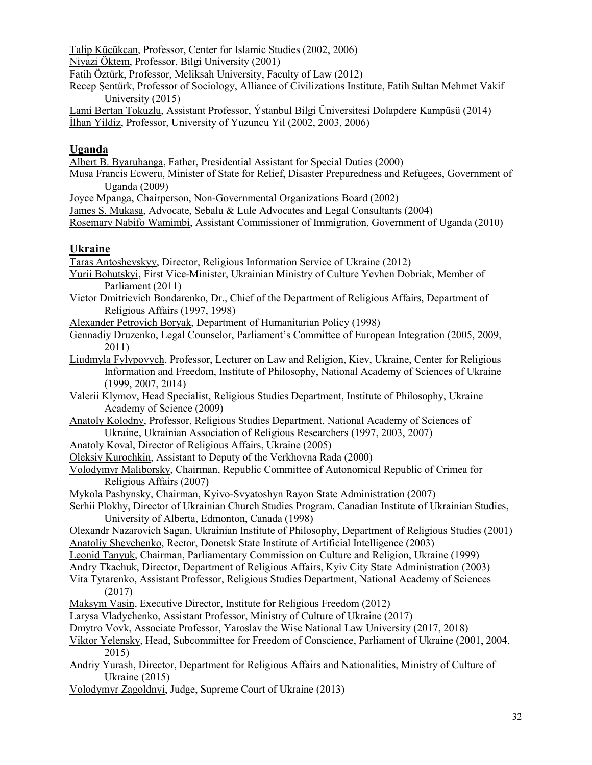Talip Küçükcan, Professor, Center for Islamic Studies (2002, 2006)

Niyazi Öktem, Professor, Bilgi University (2001)

Fatih Öztürk, Professor, Meliksah University, Faculty of Law (2012)

Recep Şentürk, Professor of Sociology, Alliance of Civilizations Institute, Fatih Sultan Mehmet Vakif University (2015)

Lami Bertan Tokuzlu, Assistant Professor, Ýstanbul Bilgi Üniversitesi Dolapdere Kampüsü (2014) İlhan Yildiz, Professor, University of Yuzuncu Yil (2002, 2003, 2006)

### **Uganda**

Albert B. Byaruhanga, Father, Presidential Assistant for Special Duties (2000)

- Musa Francis Ecweru, Minister of State for Relief, Disaster Preparedness and Refugees, Government of Uganda (2009)
- Joyce Mpanga, Chairperson, Non-Governmental Organizations Board (2002)

James S. Mukasa, Advocate, Sebalu & Lule Advocates and Legal Consultants (2004)

Rosemary Nabifo Wamimbi, Assistant Commissioner of Immigration, Government of Uganda (2010)

# **Ukraine**

Taras Antoshevskyy, Director, Religious Information Service of Ukraine (2012)

- Yurii Bohutskyi, First Vice-Minister, Ukrainian Ministry of Culture Yevhen Dobriak, Member of Parliament (2011)
- Victor Dmitrievich Bondarenko, Dr., Chief of the Department of Religious Affairs, Department of Religious Affairs (1997, 1998)
- Alexander Petrovich Boryak, Department of Humanitarian Policy (1998)
- Gennadiy Druzenko, Legal Counselor, Parliament's Committee of European Integration (2005, 2009, 2011)
- Liudmyla Fylypovych, Professor, Lecturer on Law and Religion, Kiev, Ukraine, Center for Religious Information and Freedom, Institute of Philosophy, National Academy of Sciences of Ukraine (1999, 2007, 2014)

Valerii Klymov, Head Specialist, Religious Studies Department, Institute of Philosophy, Ukraine Academy of Science (2009)

Anatoly Kolodny, Professor, Religious Studies Department, National Academy of Sciences of Ukraine, Ukrainian Association of Religious Researchers (1997, 2003, 2007)

Anatoly Koval, Director of Religious Affairs, Ukraine (2005)

- Oleksiy Kurochkin, Assistant to Deputy of the Verkhovna Rada (2000)
- Volodymyr Maliborsky, Chairman, Republic Committee of Autonomical Republic of Crimea for Religious Affairs (2007)
- Mykola Pashynsky, Chairman, Kyivo-Svyatoshyn Rayon State Administration (2007)

Serhii Plokhy, Director of Ukrainian Church Studies Program, Canadian Institute of Ukrainian Studies, University of Alberta, Edmonton, Canada (1998)

Olexandr Nazarovich Sagan, Ukrainian Institute of Philosophy, Department of Religious Studies (2001) Anatoliy Shevchenko, Rector, Donetsk State Institute of Artificial Intelligence (2003)

Leonid Tanyuk, Chairman, Parliamentary Commission on Culture and Religion, Ukraine (1999)

- Andry Tkachuk, Director, Department of Religious Affairs, Kyiv City State Administration (2003)
- Vita Tytarenko, Assistant Professor, Religious Studies Department, National Academy of Sciences (2017)
- Maksym Vasin, Executive Director, Institute for Religious Freedom (2012)

Larysa Vladychenko, Assistant Professor, Ministry of Culture of Ukraine (2017)

- Dmytro Vovk, Associate Professor, Yaroslav the Wise National Law University (2017, 2018)
- Viktor Yelensky, Head, Subcommittee for Freedom of Conscience, Parliament of Ukraine (2001, 2004, 2015)
- Andriy Yurash, Director, Department for Religious Affairs and Nationalities, Ministry of Culture of Ukraine (2015)
- Volodymyr Zagoldnyi, Judge, Supreme Court of Ukraine (2013)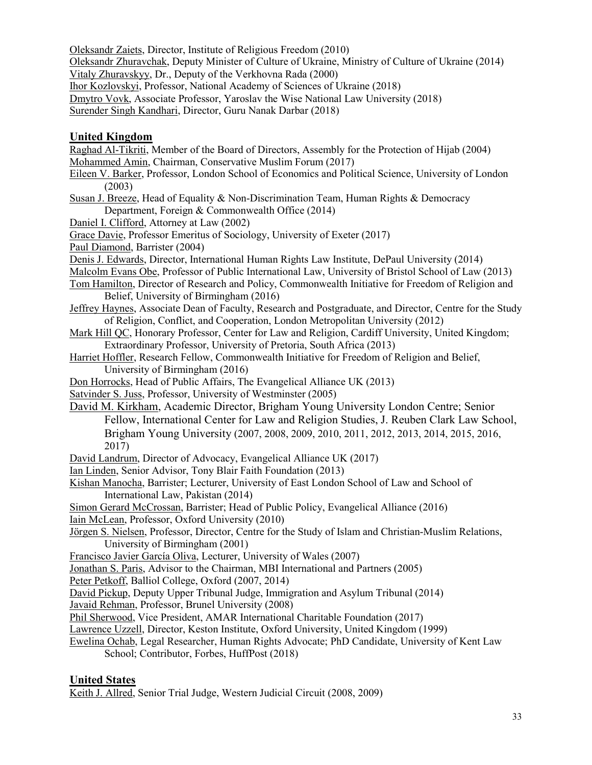Oleksandr Zaiets, Director, Institute of Religious Freedom (2010) Oleksandr Zhuravchak, Deputy Minister of Culture of Ukraine, Ministry of Culture of Ukraine (2014) Vitaly Zhuravskyy, Dr., Deputy of the Verkhovna Rada (2000) Ihor Kozlovskyi, Professor, National Academy of Sciences of Ukraine (2018) Dmytro Vovk, Associate Professor, Yaroslav the Wise National Law University (2018) Surender Singh Kandhari, Director, Guru Nanak Darbar (2018) **United Kingdom** Raghad Al-Tikriti, Member of the Board of Directors, Assembly for the Protection of Hijab (2004) Mohammed Amin, Chairman, Conservative Muslim Forum (2017) Eileen V. Barker, Professor, London School of Economics and Political Science, University of London (2003) Susan J. Breeze, Head of Equality & Non-Discrimination Team, Human Rights & Democracy Department, Foreign & Commonwealth Office (2014) Daniel I. Clifford, Attorney at Law (2002) Grace Davie, Professor Emeritus of Sociology, University of Exeter (2017) Paul Diamond, Barrister (2004) Denis J. Edwards, Director, International Human Rights Law Institute, DePaul University (2014) Malcolm Evans Obe, Professor of Public International Law, University of Bristol School of Law (2013) Tom Hamilton, Director of Research and Policy, Commonwealth Initiative for Freedom of Religion and Belief, University of Birmingham (2016) Jeffrey Haynes, Associate Dean of Faculty, Research and Postgraduate, and Director, Centre for the Study of Religion, Conflict, and Cooperation, London Metropolitan University (2012) Mark Hill QC, Honorary Professor, Center for Law and Religion, Cardiff University, United Kingdom; Extraordinary Professor, University of Pretoria, South Africa (2013) Harriet Hoffler, Research Fellow, Commonwealth Initiative for Freedom of Religion and Belief, University of Birmingham (2016) Don Horrocks, Head of Public Affairs, The Evangelical Alliance UK (2013) Satvinder S. Juss, Professor, University of Westminster (2005) David M. Kirkham, Academic Director, Brigham Young University London Centre; Senior Fellow, International Center for Law and Religion Studies, J. Reuben Clark Law School, Brigham Young University (2007, 2008, 2009, 2010, 2011, 2012, 2013, 2014, 2015, 2016, 2017) David Landrum, Director of Advocacy, Evangelical Alliance UK (2017) Ian Linden, Senior Advisor, Tony Blair Faith Foundation (2013) Kishan Manocha, Barrister; Lecturer, University of East London School of Law and School of International Law, Pakistan (2014) Simon Gerard McCrossan, Barrister; Head of Public Policy, Evangelical Alliance (2016) Iain McLean, Professor, Oxford University (2010) Jörgen S. Nielsen, Professor, Director, Centre for the Study of Islam and Christian-Muslim Relations, University of Birmingham (2001) Francisco Javier García Oliva, Lecturer, University of Wales (2007) Jonathan S. Paris, Advisor to the Chairman, MBI International and Partners (2005) Peter Petkoff, Balliol College, Oxford (2007, 2014) David Pickup, Deputy Upper Tribunal Judge, Immigration and Asylum Tribunal (2014) Javaid Rehman, Professor, Brunel University (2008) Phil Sherwood, Vice President, AMAR International Charitable Foundation (2017) Lawrence Uzzell, Director, Keston Institute, Oxford University, United Kingdom (1999) Ewelina Ochab, Legal Researcher, Human Rights Advocate; PhD Candidate, University of Kent Law School; Contributor, Forbes, HuffPost (2018) **United States**

Keith J. Allred, Senior Trial Judge, Western Judicial Circuit (2008, 2009)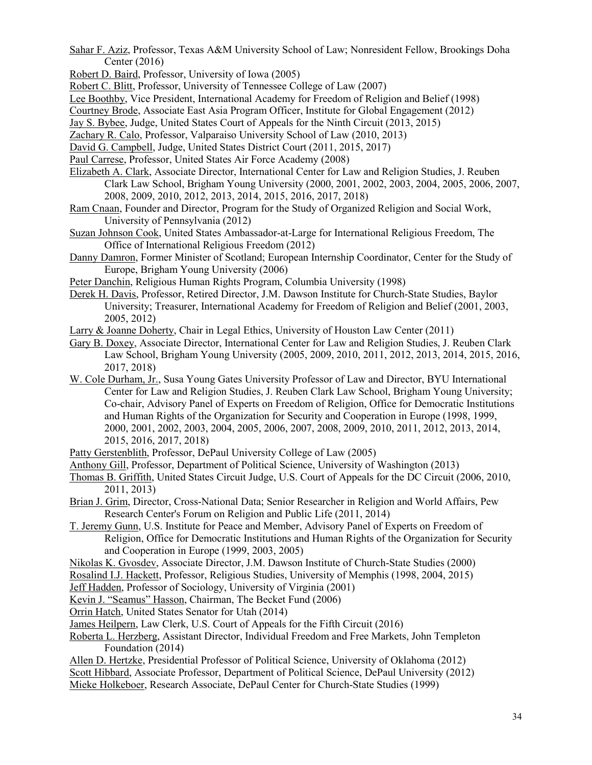Sahar F. Aziz, Professor, Texas A&M University School of Law; Nonresident Fellow, Brookings Doha Center (2016)

Robert D. Baird, Professor, University of Iowa (2005)

Robert C. Blitt, Professor, University of Tennessee College of Law (2007)

Lee Boothby, Vice President, International Academy for Freedom of Religion and Belief (1998)

Courtney Brode, Associate East Asia Program Officer, Institute for Global Engagement (2012)

Jay S. Bybee, Judge, United States Court of Appeals for the Ninth Circuit (2013, 2015)

- Zachary R. Calo, Professor, Valparaiso University School of Law (2010, 2013)
- David G. Campbell, Judge, United States District Court (2011, 2015, 2017)
- Paul Carrese, Professor, United States Air Force Academy (2008)
- Elizabeth A. Clark, Associate Director, International Center for Law and Religion Studies, J. Reuben Clark Law School, Brigham Young University (2000, 2001, 2002, 2003, 2004, 2005, 2006, 2007, 2008, 2009, 2010, 2012, 2013, 2014, 2015, 2016, 2017, 2018)
- Ram Cnaan, Founder and Director, Program for the Study of Organized Religion and Social Work, University of Pennsylvania (2012)
- Suzan Johnson Cook, United States Ambassador-at-Large for International Religious Freedom, The Office of International Religious Freedom (2012)
- Danny Damron, Former Minister of Scotland; European Internship Coordinator, Center for the Study of Europe, Brigham Young University (2006)

Peter Danchin, Religious Human Rights Program, Columbia University (1998)

- Derek H. Davis, Professor, Retired Director, J.M. Dawson Institute for Church-State Studies, Baylor University; Treasurer, International Academy for Freedom of Religion and Belief (2001, 2003, 2005, 2012)
- Larry & Joanne Doherty, Chair in Legal Ethics, University of Houston Law Center (2011)
- Gary B. Doxey, Associate Director, International Center for Law and Religion Studies, J. Reuben Clark Law School, Brigham Young University (2005, 2009, 2010, 2011, 2012, 2013, 2014, 2015, 2016, 2017, 2018)
- W. Cole Durham, Jr., Susa Young Gates University Professor of Law and Director, BYU International Center for Law and Religion Studies, J. Reuben Clark Law School, Brigham Young University; Co-chair, Advisory Panel of Experts on Freedom of Religion, Office for Democratic Institutions and Human Rights of the Organization for Security and Cooperation in Europe (1998, 1999, 2000, 2001, 2002, 2003, 2004, 2005, 2006, 2007, 2008, 2009, 2010, 2011, 2012, 2013, 2014, 2015, 2016, 2017, 2018)
- Patty Gerstenblith, Professor, DePaul University College of Law (2005)
- Anthony Gill, Professor, Department of Political Science, University of Washington (2013)
- Thomas B. Griffith, United States Circuit Judge, U.S. Court of Appeals for the DC Circuit (2006, 2010, 2011, 2013)
- Brian J. Grim, Director, Cross-National Data; Senior Researcher in Religion and World Affairs, Pew Research Center's Forum on Religion and Public Life (2011, 2014)
- T. Jeremy Gunn, U.S. Institute for Peace and Member, Advisory Panel of Experts on Freedom of Religion, Office for Democratic Institutions and Human Rights of the Organization for Security and Cooperation in Europe (1999, 2003, 2005)
- Nikolas K. Gvosdev, Associate Director, J.M. Dawson Institute of Church-State Studies (2000)

Rosalind I.J. Hackett, Professor, Religious Studies, University of Memphis (1998, 2004, 2015)

Jeff Hadden, Professor of Sociology, University of Virginia (2001)

Kevin J. "Seamus" Hasson, Chairman, The Becket Fund (2006)

Orrin Hatch, United States Senator for Utah (2014)

- James Heilpern, Law Clerk, U.S. Court of Appeals for the Fifth Circuit (2016)
- Roberta L. Herzberg, Assistant Director, Individual Freedom and Free Markets, John Templeton Foundation (2014)
- Allen D. Hertzke, Presidential Professor of Political Science, University of Oklahoma (2012)
- Scott Hibbard, Associate Professor, Department of Political Science, DePaul University (2012)

Mieke Holkeboer, Research Associate, DePaul Center for Church-State Studies (1999)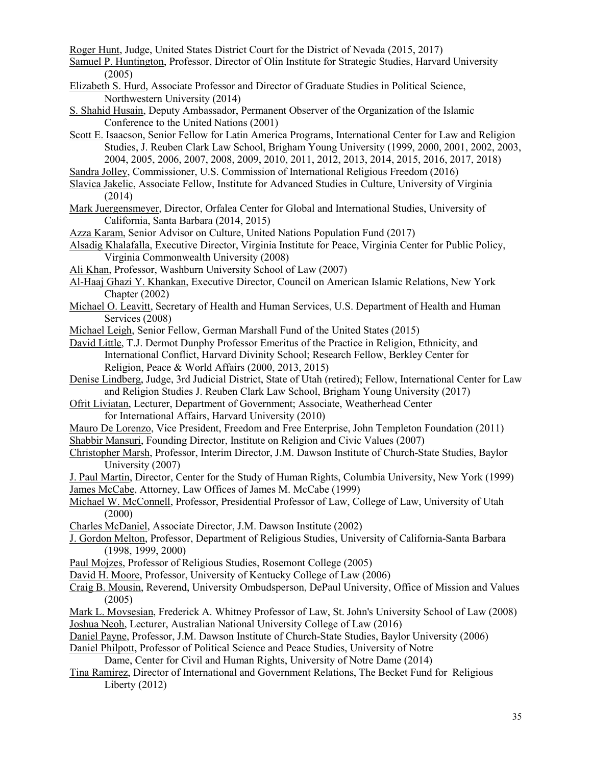Roger Hunt, Judge, United States District Court for the District of Nevada (2015, 2017)

Samuel P. Huntington, Professor, Director of Olin Institute for Strategic Studies, Harvard University (2005)

- Elizabeth S. Hurd, Associate Professor and Director of Graduate Studies in Political Science, Northwestern University (2014)
- S. Shahid Husain, Deputy Ambassador, Permanent Observer of the Organization of the Islamic Conference to the United Nations (2001)
- Scott E. Isaacson, Senior Fellow for Latin America Programs, International Center for Law and Religion Studies, J. Reuben Clark Law School, Brigham Young University (1999, 2000, 2001, 2002, 2003, 2004, 2005, 2006, 2007, 2008, 2009, 2010, 2011, 2012, 2013, 2014, 2015, 2016, 2017, 2018)
- Sandra Jolley, Commissioner, U.S. Commission of International Religious Freedom (2016)
- Slavica Jakelic, Associate Fellow, Institute for Advanced Studies in Culture, University of Virginia (2014)
- Mark Juergensmeyer, Director, Orfalea Center for Global and International Studies, University of California, Santa Barbara (2014, 2015)
- Azza Karam, Senior Advisor on Culture, United Nations Population Fund (2017)
- Alsadig Khalafalla, Executive Director, Virginia Institute for Peace, Virginia Center for Public Policy, Virginia Commonwealth University (2008)
- Ali Khan, Professor, Washburn University School of Law (2007)
- Al-Haaj Ghazi Y. Khankan, Executive Director, Council on American Islamic Relations, New York Chapter (2002)
- Michael O. Leavitt, Secretary of Health and Human Services, U.S. Department of Health and Human Services (2008)

Michael Leigh, Senior Fellow, German Marshall Fund of the United States (2015)

- David Little, T.J. Dermot Dunphy Professor Emeritus of the Practice in Religion, Ethnicity, and International Conflict, Harvard Divinity School; Research Fellow, Berkley Center for Religion, Peace & World Affairs (2000, 2013, 2015)
- Denise Lindberg, Judge, 3rd Judicial District, State of Utah (retired); Fellow, International Center for Law and Religion Studies J. Reuben Clark Law School, Brigham Young University (2017)

Ofrit Liviatan, Lecturer, Department of Government; Associate, Weatherhead Center for International Affairs, Harvard University (2010)

- Mauro De Lorenzo, Vice President, Freedom and Free Enterprise, John Templeton Foundation (2011)
- Shabbir Mansuri, Founding Director, Institute on Religion and Civic Values (2007)
- Christopher Marsh, Professor, Interim Director, J.M. Dawson Institute of Church-State Studies, Baylor University (2007)
- J. Paul Martin, Director, Center for the Study of Human Rights, Columbia University, New York (1999) James McCabe, Attorney, Law Offices of James M. McCabe (1999)
- Michael W. McConnell, Professor, Presidential Professor of Law, College of Law, University of Utah (2000)
- Charles McDaniel, Associate Director, J.M. Dawson Institute (2002)

J. Gordon Melton, Professor, Department of Religious Studies, University of California-Santa Barbara (1998, 1999, 2000)

- Paul Mojzes, Professor of Religious Studies, Rosemont College (2005)
- David H. Moore, Professor, University of Kentucky College of Law (2006)
- Craig B. Mousin, Reverend, University Ombudsperson, DePaul University, Office of Mission and Values (2005)
- Mark L. Movsesian, Frederick A. Whitney Professor of Law, St. John's University School of Law (2008) Joshua Neoh, Lecturer, Australian National University College of Law (2016)
- Daniel Payne, Professor, J.M. Dawson Institute of Church-State Studies, Baylor University (2006)
- Daniel Philpott, Professor of Political Science and Peace Studies, University of Notre

Dame, Center for Civil and Human Rights, University of Notre Dame (2014)

Tina Ramirez, Director of International and Government Relations, The Becket Fund for Religious Liberty (2012)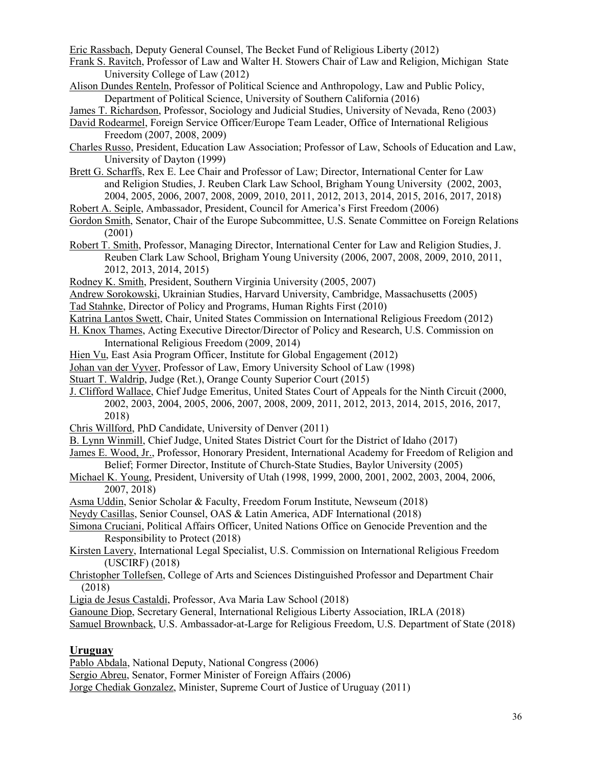Eric Rassbach, Deputy General Counsel, The Becket Fund of Religious Liberty (2012)

Frank S. Ravitch, Professor of Law and Walter H. Stowers Chair of Law and Religion, Michigan State University College of Law (2012)

Alison Dundes Renteln, Professor of Political Science and Anthropology, Law and Public Policy, Department of Political Science, University of Southern California (2016)

James T. Richardson, Professor, Sociology and Judicial Studies, University of Nevada, Reno (2003)

- David Rodearmel, Foreign Service Officer/Europe Team Leader, Office of International Religious Freedom (2007, 2008, 2009)
- Charles Russo, President, Education Law Association; Professor of Law, Schools of Education and Law, University of Dayton (1999)
- Brett G. Scharffs, Rex E. Lee Chair and Professor of Law; Director, International Center for Law and Religion Studies, J. Reuben Clark Law School, Brigham Young University (2002, 2003, 2004, 2005, 2006, 2007, 2008, 2009, 2010, 2011, 2012, 2013, 2014, 2015, 2016, 2017, 2018)
- Robert A. Seiple, Ambassador, President, Council for America's First Freedom (2006)
- Gordon Smith, Senator, Chair of the Europe Subcommittee, U.S. Senate Committee on Foreign Relations (2001)
- Robert T. Smith, Professor, Managing Director, International Center for Law and Religion Studies, J. Reuben Clark Law School, Brigham Young University (2006, 2007, 2008, 2009, 2010, 2011, 2012, 2013, 2014, 2015)
- Rodney K. Smith, President, Southern Virginia University (2005, 2007)
- Andrew Sorokowski, Ukrainian Studies, Harvard University, Cambridge, Massachusetts (2005)
- Tad Stahnke, Director of Policy and Programs, Human Rights First (2010)
- Katrina Lantos Swett, Chair, United States Commission on International Religious Freedom (2012)
- H. Knox Thames, Acting Executive Director/Director of Policy and Research, U.S. Commission on International Religious Freedom (2009, 2014)
- Hien Vu, East Asia Program Officer, Institute for Global Engagement (2012)
- Johan van der Vyver, Professor of Law, Emory University School of Law (1998)
- Stuart T. Waldrip, Judge (Ret.), Orange County Superior Court (2015)
- J. Clifford Wallace, Chief Judge Emeritus, United States Court of Appeals for the Ninth Circuit (2000, 2002, 2003, 2004, 2005, 2006, 2007, 2008, 2009, 2011, 2012, 2013, 2014, 2015, 2016, 2017, 2018)
- Chris Willford, PhD Candidate, University of Denver (2011)
- B. Lynn Winmill, Chief Judge, United States District Court for the District of Idaho (2017)
- James E. Wood, Jr., Professor, Honorary President, International Academy for Freedom of Religion and Belief; Former Director, Institute of Church-State Studies, Baylor University (2005)
- Michael K. Young, President, University of Utah (1998, 1999, 2000, 2001, 2002, 2003, 2004, 2006, 2007, 2018)
- Asma Uddin, Senior Scholar & Faculty, Freedom Forum Institute, Newseum (2018)
- Neydy Casillas, Senior Counsel, OAS & Latin America, ADF International (2018)

Simona Cruciani, Political Affairs Officer, United Nations Office on Genocide Prevention and the Responsibility to Protect (2018)

- Kirsten Lavery, International Legal Specialist, U.S. Commission on International Religious Freedom (USCIRF) (2018)
- Christopher Tollefsen, College of Arts and Sciences Distinguished Professor and Department Chair (2018)
- Ligia de Jesus Castaldi, Professor, Ava Maria Law School (2018)

Ganoune Diop, Secretary General, International Religious Liberty Association, IRLA (2018)

Samuel Brownback, U.S. Ambassador-at-Large for Religious Freedom, U.S. Department of State (2018)

#### **Uruguay**

Pablo Abdala, National Deputy, National Congress (2006)

Sergio Abreu, Senator, Former Minister of Foreign Affairs (2006)

Jorge Chediak Gonzalez, Minister, Supreme Court of Justice of Uruguay (2011)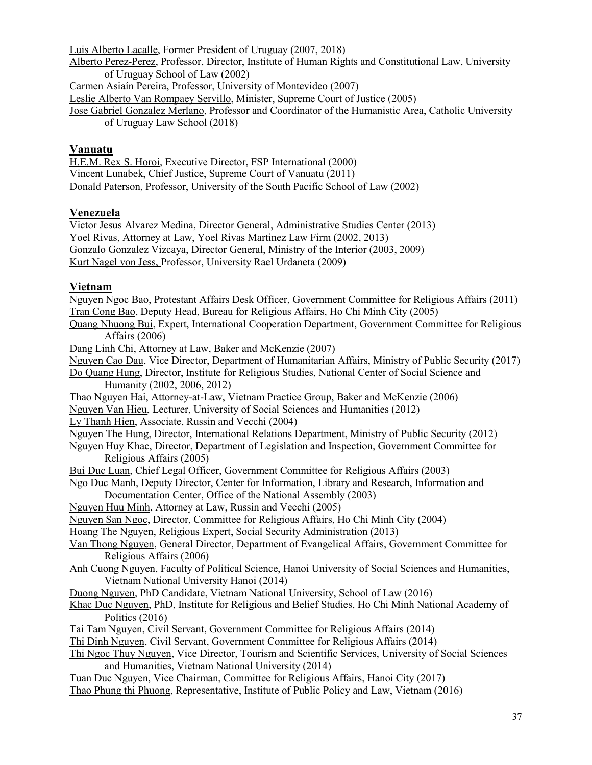Luis Alberto Lacalle, Former President of Uruguay (2007, 2018)

Alberto Perez-Perez, Professor, Director, Institute of Human Rights and Constitutional Law, University of Uruguay School of Law (2002)

Carmen Asiaín Pereira, Professor, University of Montevideo (2007)

Leslie Alberto Van Rompaey Servillo, Minister, Supreme Court of Justice (2005)

Jose Gabriel Gonzalez Merlano, Professor and Coordinator of the Humanistic Area, Catholic University of Uruguay Law School (2018)

#### **Vanuatu**

H.E.M. Rex S. Horoi, Executive Director, FSP International (2000) Vincent Lunabek, Chief Justice, Supreme Court of Vanuatu (2011) Donald Paterson, Professor, University of the South Pacific School of Law (2002)

### **Venezuela**

Victor Jesus Alvarez Medina, Director General, Administrative Studies Center (2013) Yoel Rivas, Attorney at Law, Yoel Rivas Martinez Law Firm (2002, 2013) Gonzalo Gonzalez Vizcaya, Director General, Ministry of the Interior (2003, 2009) Kurt Nagel von Jess, Professor, University Rael Urdaneta (2009)

### **Vietnam**

Nguyen Ngoc Bao, Protestant Affairs Desk Officer, Government Committee for Religious Affairs (2011) Tran Cong Bao, Deputy Head, Bureau for Religious Affairs, Ho Chi Minh City (2005) Quang Nhuong Bui, Expert, International Cooperation Department, Government Committee for Religious Affairs (2006) Dang Linh Chi, Attorney at Law, Baker and McKenzie (2007) Nguyen Cao Dau, Vice Director, Department of Humanitarian Affairs, Ministry of Public Security (2017) Do Quang Hung, Director, Institute for Religious Studies, National Center of Social Science and Humanity (2002, 2006, 2012) Thao Nguyen Hai, Attorney-at-Law, Vietnam Practice Group, Baker and McKenzie (2006) Nguyen Van Hieu, Lecturer, University of Social Sciences and Humanities (2012) Ly Thanh Hien, Associate, Russin and Vecchi (2004) Nguyen The Hung, Director, International Relations Department, Ministry of Public Security (2012) Nguyen Huy Khac, Director, Department of Legislation and Inspection, Government Committee for Religious Affairs (2005) Bui Duc Luan, Chief Legal Officer, Government Committee for Religious Affairs (2003) Ngo Duc Manh, Deputy Director, Center for Information, Library and Research, Information and Documentation Center, Office of the National Assembly (2003) Nguyen Huu Minh, Attorney at Law, Russin and Vecchi (2005) Nguyen San Ngoc, Director, Committee for Religious Affairs, Ho Chi Minh City (2004) Hoang The Nguyen, Religious Expert, Social Security Administration (2013) Van Thong Nguyen, General Director, Department of Evangelical Affairs, Government Committee for Religious Affairs (2006) Anh Cuong Nguyen, Faculty of Political Science, Hanoi University of Social Sciences and Humanities, Vietnam National University Hanoi (2014) Duong Nguyen, PhD Candidate, Vietnam National University, School of Law (2016) Khac Duc Nguyen, PhD, Institute for Religious and Belief Studies, Ho Chi Minh National Academy of Politics (2016) Tai Tam Nguyen, Civil Servant, Government Committee for Religious Affairs (2014) Thi Dinh Nguyen, Civil Servant, Government Committee for Religious Affairs (2014) Thi Ngoc Thuy Nguyen, Vice Director, Tourism and Scientific Services, University of Social Sciences and Humanities, Vietnam National University (2014) Tuan Duc Nguyen, Vice Chairman, Committee for Religious Affairs, Hanoi City (2017) Thao Phung thi Phuong, Representative, Institute of Public Policy and Law, Vietnam (2016)